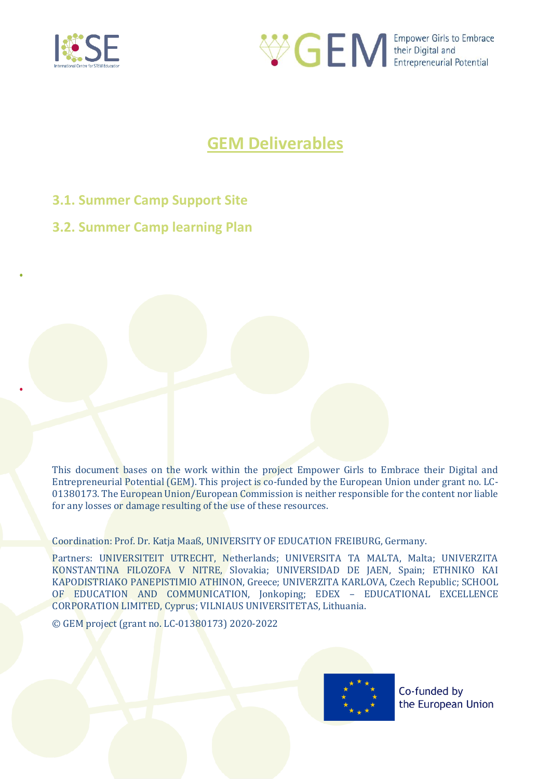



# **GEM Deliverables**

- **3.1. Summer Camp Support Site**
- **3.2. Summer Camp learning Plan**

This document bases on the work within the project Empower Girls to Embrace their Digital and Entrepreneurial Potential (GEM). This project is co-funded by the European Union under grant no. LC-01380173. The European Union/European Commission is neither responsible for the content nor liable for any losses or damage resulting of the use of these resources.

Coordination: Prof. Dr. Katja Maaß, UNIVERSITY OF EDUCATION FREIBURG, Germany.

Partners: UNIVERSITEIT UTRECHT, Netherlands; UNIVERSITA TA MALTA, Malta; UNIVERZITA KONSTANTINA FILOZOFA V NITRE, Slovakia; UNIVERSIDAD DE JAEN, Spain; ETHNIKO KAI KAPODISTRIAKO PANEPISTIMIO ATHINON, Greece; UNIVERZITA KARLOVA, Czech Republic; SCHOOL OF EDUCATION AND COMMUNICATION, Jonkoping; EDEX – EDUCATIONAL EXCELLENCE CORPORATION LIMITED, Cyprus; VILNIAUS UNIVERSITETAS, Lithuania.

© GEM project (grant no. LC-01380173) 2020-2022

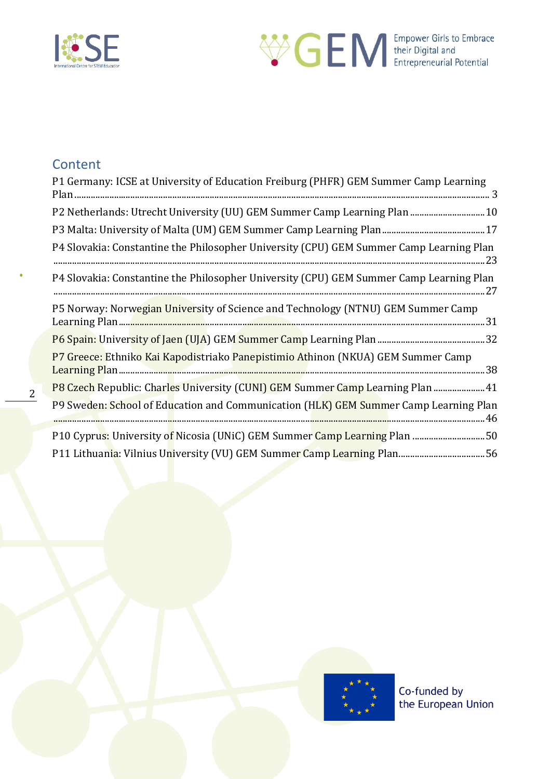



## **Content**

2

| P1 Germany: ICSE at University of Education Freiburg (PHFR) GEM Summer Camp Learning    |
|-----------------------------------------------------------------------------------------|
| P2 Netherlands: Utrecht University (UU) GEM Summer Camp Learning Plan  10               |
|                                                                                         |
| P4 Slovakia: Constantine the Philosopher University (CPU) GEM Summer Camp Learning Plan |
| P4 Slovakia: Constantine the Philosopher University (CPU) GEM Summer Camp Learning Plan |
| P5 Norway: Norwegian University of Science and Technology (NTNU) GEM Summer Camp        |
|                                                                                         |
| P7 Greece: Ethniko Kai Kapodistriako Panepistimio Athinon (NKUA) GEM Summer Camp        |
| P8 Czech Republic: Charles University (CUNI) GEM Summer Camp Learning Plan  41          |
| P9 Sweden: School of Education and Communication (HLK) GEM Summer Camp Learning Plan    |
| P10 Cyprus: University of Nicosia (UNiC) GEM Summer Camp Learning Plan 50               |
|                                                                                         |

<span id="page-1-0"></span>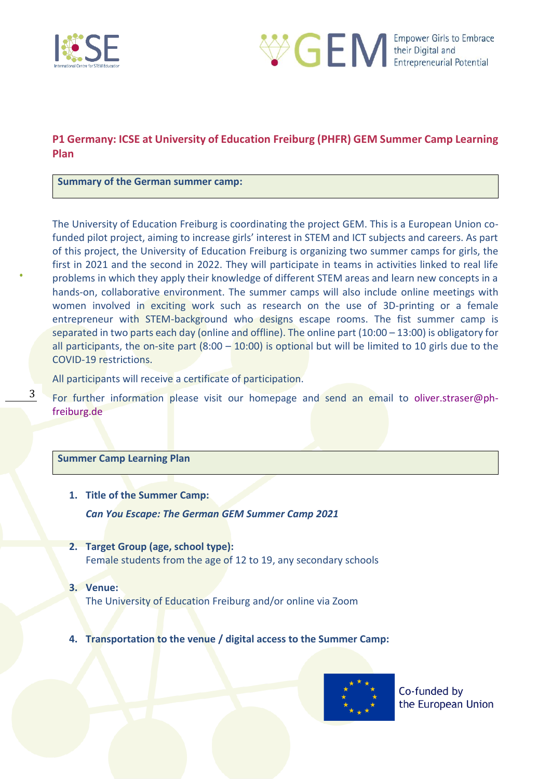



### **P1 Germany: ICSE at University of Education Freiburg (PHFR) GEM Summer Camp Learning Plan**

#### **Summary of the German summer camp:**

The University of Education Freiburg is coordinating the project GEM. This is a European Union cofunded pilot project, aiming to increase girls' interest in STEM and ICT subjects and careers. As part of this project, the University of Education Freiburg is organizing two summer camps for girls, the first in 2021 and the second in 2022. They will participate in teams in activities linked to real life problems in which they apply their knowledge of different STEM areas and learn new concepts in a hands-on, collaborative environment. The summer camps will also include online meetings with women involved in exciting work such as research on the use of 3D-printing or a female entrepreneur with STEM-background who designs escape rooms. The fist summer camp is separated in two parts each day (online and offline). The online part (10:00 – 13:00) is obligatory for all participants, the on-site part  $(8:00 - 10:00)$  is optional but will be limited to 10 girls due to the COVID-19 restrictions.

All participants will receive a certificate of participation.

For further information please visit our homepage and send an email to oliver.straser@phfreiburg.de

#### **Summer Camp Learning Plan**

3

- **1. Title of the Summer Camp:**  *Can You Escape: The German GEM Summer Camp 2021*
- **2. Target Group (age, school type):**  Female students from the age of 12 to 19, any secondary schools
- **3. Venue:**  The University of Education Freiburg and/or online via Zoom
- **4. Transportation to the venue / digital access to the Summer Camp:**

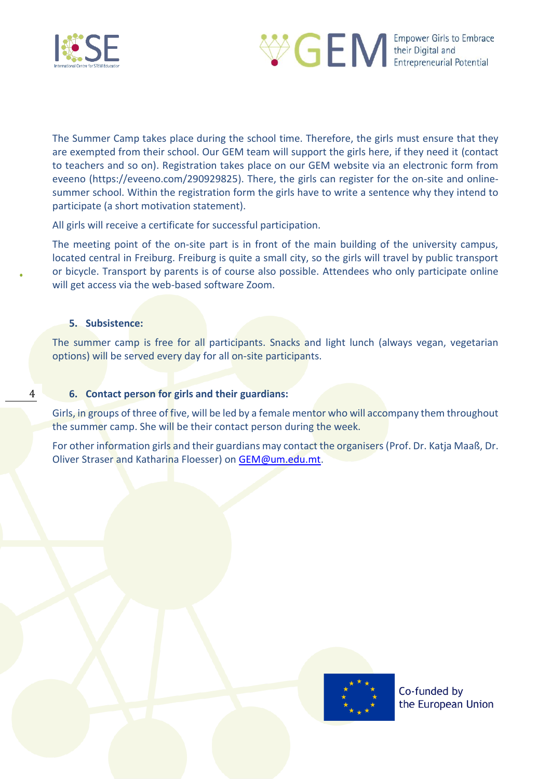



The Summer Camp takes place during the school time. Therefore, the girls must ensure that they are exempted from their school. Our GEM team will support the girls here, if they need it (contact to teachers and so on). Registration takes place on our GEM website via an electronic form from eveeno (https://eveeno.com/290929825). There, the girls can register for the on-site and onlinesummer school. Within the registration form the girls have to write a sentence why they intend to participate (a short motivation statement).

All girls will receive a certificate for successful participation.

The meeting point of the on-site part is in front of the main building of the university campus, located central in Freiburg. Freiburg is quite a small city, so the girls will travel by public transport or bicycle. Transport by parents is of course also possible. Attendees who only participate online will get access via the web-based software Zoom.

#### **5. Subsistence:**

4

The summer camp is free for all participants. Snacks and light lunch (always vegan, vegetarian options) will be served every day for all on-site participants.

### **6. Contact person for girls and their guardians:**

Girls, in groups of three of five, will be led by a female mentor who will accompany them throughout the summer camp. She will be their contact person during the week.

For other information girls and their guardians may contact the organisers (Prof. Dr. Katja Maaß, Dr. Oliver Straser and Katharina Floesser) on [GEM@um.edu.mt.](mailto:GEM@um.edu.mt)

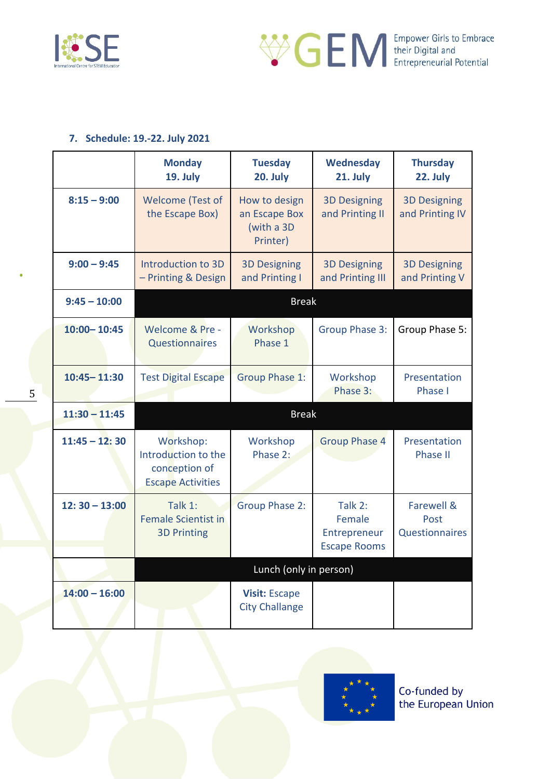



### **7. Schedule: 19.-22. July 2021**

|                 | <b>Monday</b><br>19. July                                                     | <b>Tuesday</b><br>20. July                               | <b>Wednesday</b><br>21. July                             | <b>Thursday</b><br>22. July            |
|-----------------|-------------------------------------------------------------------------------|----------------------------------------------------------|----------------------------------------------------------|----------------------------------------|
| $8:15 - 9:00$   | <b>Welcome (Test of</b><br>the Escape Box)                                    | How to design<br>an Escape Box<br>(with a 3D<br>Printer) | <b>3D Designing</b><br>and Printing II                   | <b>3D Designing</b><br>and Printing IV |
| $9:00 - 9:45$   | Introduction to 3D<br>- Printing & Design                                     | <b>3D Designing</b><br>and Printing I                    | <b>3D Designing</b><br>and Printing III                  | <b>3D Designing</b><br>and Printing V  |
| $9:45 - 10:00$  |                                                                               | <b>Break</b>                                             |                                                          |                                        |
| $10:00 - 10:45$ | Welcome & Pre -<br><b>Questionnaires</b>                                      | Workshop<br>Phase 1                                      | <b>Group Phase 3:</b>                                    | Group Phase 5:                         |
| $10:45 - 11:30$ | <b>Test Digital Escape</b>                                                    | <b>Group Phase 1:</b>                                    | Workshop<br>Phase 3:                                     | Presentation<br>Phase I                |
| $11:30 - 11:45$ |                                                                               | <b>Break</b>                                             |                                                          |                                        |
| $11:45 - 12:30$ | Workshop:<br>Introduction to the<br>conception of<br><b>Escape Activities</b> | Workshop<br>Phase 2:                                     | <b>Group Phase 4</b>                                     | Presentation<br><b>Phase II</b>        |
| $12:30 - 13:00$ | Talk 1:<br><b>Female Scientist in</b><br><b>3D Printing</b>                   | <b>Group Phase 2:</b>                                    | Talk 2:<br>Female<br>Entrepreneur<br><b>Escape Rooms</b> | Farewell &<br>Post<br>Questionnaires   |
|                 |                                                                               | Lunch (only in person)                                   |                                                          |                                        |
| $14:00 - 16:00$ |                                                                               | <b>Visit: Escape</b><br><b>City Challange</b>            |                                                          |                                        |



5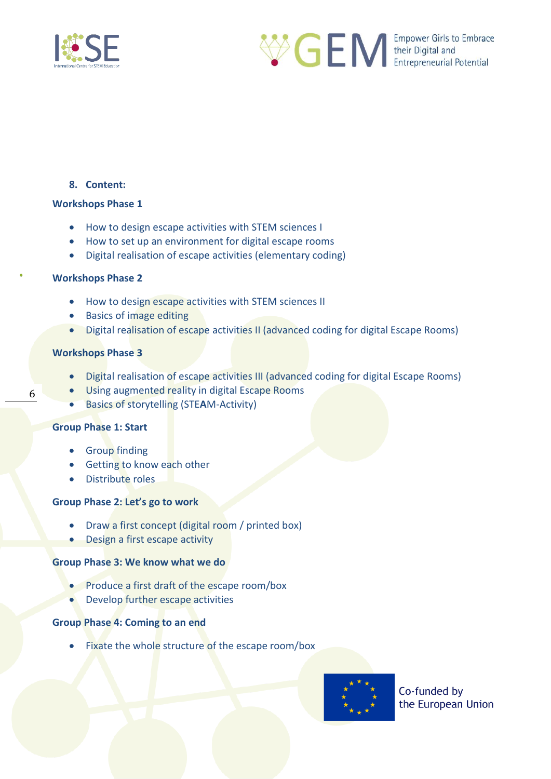



### **8. Content:**

#### **Workshops Phase 1**

- How to design escape activities with STEM sciences I
- How to set up an environment for digital escape rooms
- Digital realisation of escape activities (elementary coding)

### **Workshops Phase 2**

- How to design escape activities with STEM sciences II
- Basics of image editing
- Digital realisation of escape activities II (advanced coding for digital Escape Rooms)

### **Workshops Phase 3**

- Digital realisation of escape activities III (advanced coding for digital Escape Rooms)
- Using augmented reality in digital Escape Rooms
- Basics of storytelling (STE**A**M-Activity)

#### **Group Phase 1: Start**

- Group finding
- Getting to know each other
- Distribute roles

### **Group Phase 2: Let's go to work**

- Draw a first concept (digital room / printed box)
- Design a first escape activity

#### **Group Phase 3: We know what we do**

- Produce a first draft of the escape room/box
- Develop further escape activities

### **Group Phase 4: Coming to an end**

Fixate the whole structure of the escape room/box



Co-funded by the European Union

6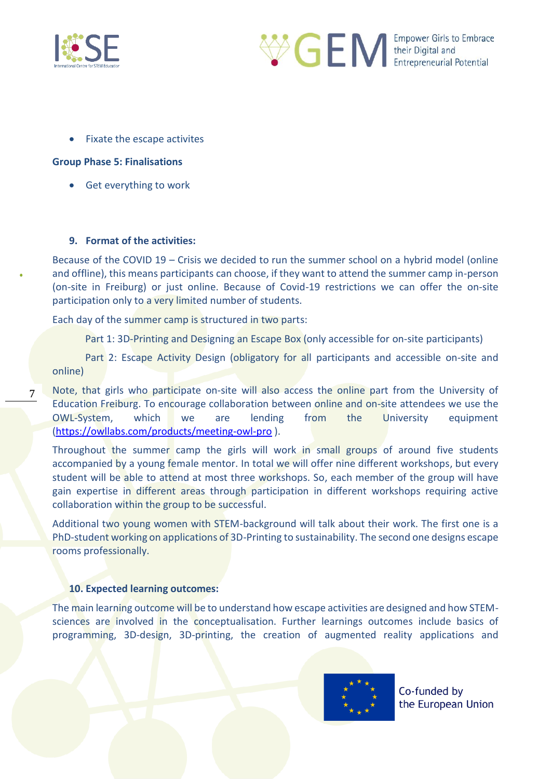

7



• Fixate the escape activites

### **Group Phase 5: Finalisations**

• Get everything to work

### **9. Format of the activities:**

Because of the COVID 19 – Crisis we decided to run the summer school on a hybrid model (online and offline), this means participants can choose, if they want to attend the summer camp in-person (on-site in Freiburg) or just online. Because of Covid-19 restrictions we can offer the on-site participation only to a very limited number of students.

Each day of the summer camp is structured in two parts:

Part 1: 3D-Printing and Designing an Escape Box (only accessible for on-site participants)

Part 2: Escape Activity Design (obligatory for all participants and accessible on-site and online)

Note, that girls who participate on-site will also access the online part from the University of Education Freiburg. To encourage collaboration between online and on-site attendees we use the OWL-System, which we are lending from the University equipment [\(https://owllabs.com/products/meeting-owl-pro](https://owllabs.com/products/meeting-owl-pro) ).

Throughout the summer camp the girls will work in small groups of around five students accompanied by a young female mentor. In total we will offer nine different workshops, but every student will be able to attend at most three workshops. So, each member of the group will have gain expertise in different areas through participation in different workshops requiring active collaboration within the group to be successful.

Additional two young women with STEM-background will talk about their work. The first one is a PhD-student working on applications of 3D-Printing to sustainability. The second one designs escape rooms professionally.

#### **10. Expected learning outcomes:**

The main learning outcome will be to understand how escape activities are designed and how STEMsciences are involved in the conceptualisation. Further learnings outcomes include basics of programming, 3D-design, 3D-printing, the creation of augmented reality applications and

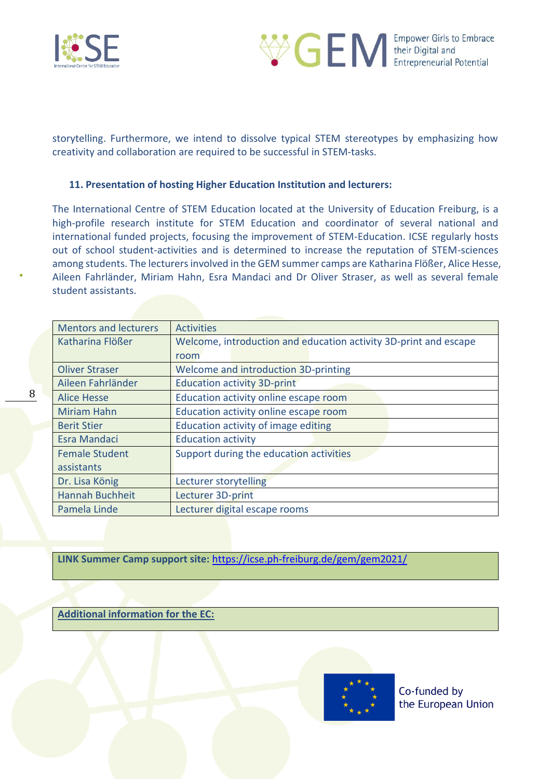

8



storytelling. Furthermore, we intend to dissolve typical STEM stereotypes by emphasizing how creativity and collaboration are required to be successful in STEM-tasks.

### **11. Presentation of hosting Higher Education Institution and lecturers:**

The International Centre of STEM Education located at the University of Education Freiburg, is a high-profile research institute for STEM Education and coordinator of several national and international funded projects, focusing the improvement of STEM-Education. ICSE regularly hosts out of school student-activities and is determined to increase the reputation of STEM-sciences among students. The lecturers involved in the GEM summer camps are Katharina Flößer, Alice Hesse, Aileen Fahrländer, Miriam Hahn, Esra Mandaci and Dr Oliver Straser, as well as several female student assistants.

| <b>Mentors and lecturers</b> | <b>Activities</b>                                                |  |  |  |
|------------------------------|------------------------------------------------------------------|--|--|--|
| Katharina Flößer             | Welcome, introduction and education activity 3D-print and escape |  |  |  |
|                              | room                                                             |  |  |  |
| <b>Oliver Straser</b>        | Welcome and introduction 3D-printing                             |  |  |  |
| Aileen Fahrländer            | <b>Education activity 3D-print</b>                               |  |  |  |
| <b>Alice Hesse</b>           | Education activity online escape room                            |  |  |  |
| <b>Miriam Hahn</b>           | Education activity online escape room                            |  |  |  |
| <b>Berit Stier</b>           | Education activity of image editing                              |  |  |  |
| <b>Esra Mandaci</b>          | <b>Education activity</b>                                        |  |  |  |
| <b>Female Student</b>        | Support during the education activities                          |  |  |  |
| assistants                   |                                                                  |  |  |  |
| Dr. Lisa König               | Lecturer storytelling                                            |  |  |  |
| <b>Hannah Buchheit</b>       | Lecturer 3D-print                                                |  |  |  |
| Pamela Linde                 | Lecturer digital escape rooms                                    |  |  |  |

**LINK Summer Camp support site:** <https://icse.ph-freiburg.de/gem/gem2021/>

**Additional information for the EC:** 

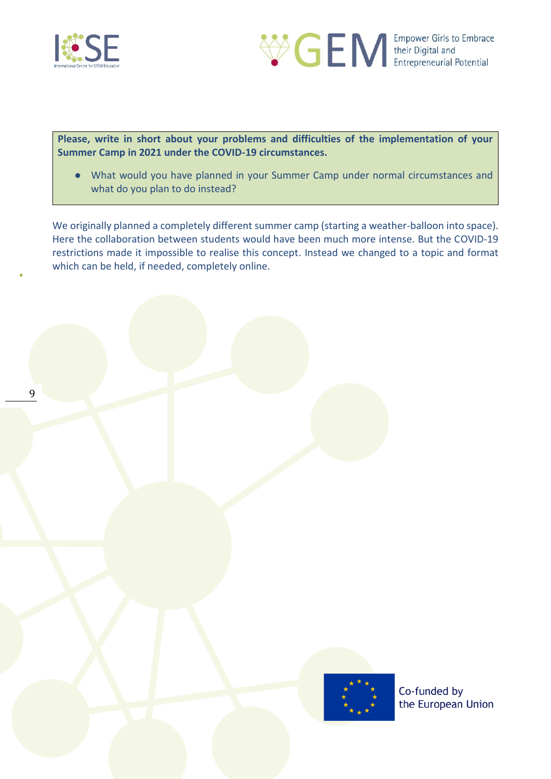



**Please, write in short about your problems and difficulties of the implementation of your Summer Camp in 2021 under the COVID-19 circumstances.** 

● What would you have planned in your Summer Camp under normal circumstances and what do you plan to do instead?

We originally planned a completely different summer camp (starting a weather-balloon into space). Here the collaboration between students would have been much more intense. But the COVID-19 restrictions made it impossible to realise this concept. Instead we changed to a topic and format which can be held, if needed, completely online.

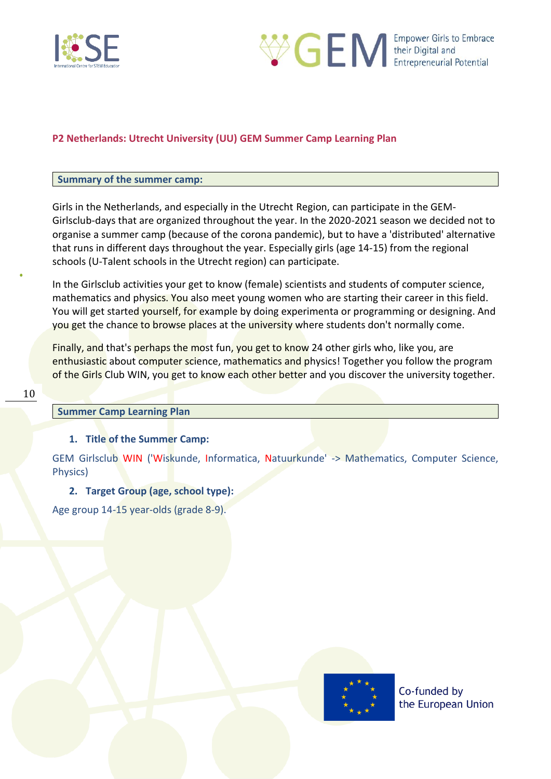



### <span id="page-9-0"></span>**P2 Netherlands: Utrecht University (UU) GEM Summer Camp Learning Plan**

#### **Summary of the summer camp:**

Girls in the Netherlands, and especially in the Utrecht Region, can participate in the GEM-Girlsclub-days that are organized throughout the year. In the 2020-2021 season we decided not to organise a summer camp (because of the corona pandemic), but to have a 'distributed' alternative that runs in different days throughout the year. Especially girls (age 14-15) from the regional schools (U-Talent schools in the Utrecht region) can participate.

In the Girlsclub activities your get to know (female) scientists and students of computer science, mathematics and physics. You also meet young women who are starting their career in this field. You will get started yourself, for example by doing experimenta or programming or designing. And you get the chance to browse places at the university where students don't normally come.

Finally, and that's perhaps the most fun, you get to know 24 other girls who, like you, are enthusiastic about computer science, mathematics and physics! Together you follow the program of the Girls Club WIN, you get to know each other better and you discover the university together.

### **Summer Camp Learning Plan**

#### **1. Title of the Summer Camp:**

GEM Girlsclub WIN ('Wiskunde, Informatica, Natuurkunde' -> Mathematics, Computer Science, Physics)

### **2. Target Group (age, school type):**

Age group 14-15 year-olds (grade 8-9).

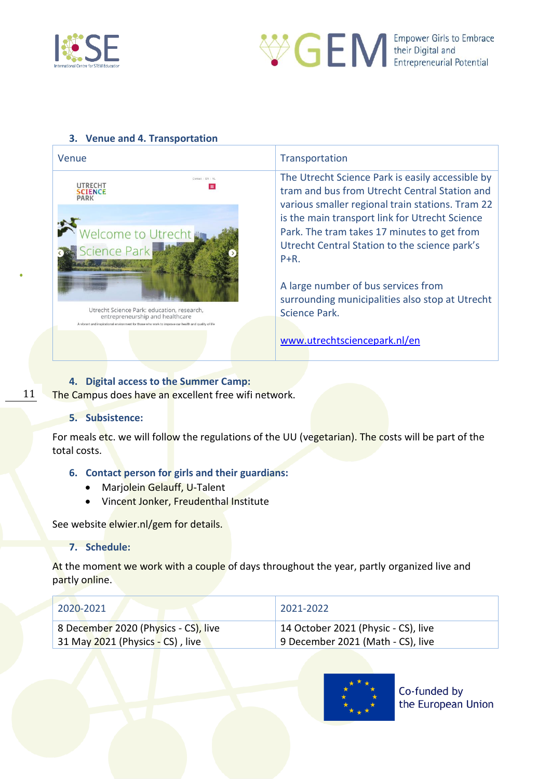



### **3. Venue and 4. Transportation**

| Venue                                                                                                                                                                                                                                                                                                    | Transportation                                                                                                                                                                                                                                                                                                                                                                                                                  |
|----------------------------------------------------------------------------------------------------------------------------------------------------------------------------------------------------------------------------------------------------------------------------------------------------------|---------------------------------------------------------------------------------------------------------------------------------------------------------------------------------------------------------------------------------------------------------------------------------------------------------------------------------------------------------------------------------------------------------------------------------|
| Contact   EN   NL<br>UTRECHT<br>$\equiv$<br>SCIENCE<br>PARK<br><b>Welcome to Utrecht</b><br><b>Science Park</b><br>Utrecht Science Park: education, research,<br>entrepreneurship and healthcare<br>A vibrant and inspirational environment for those who work to improve our health and quality of life | The Utrecht Science Park is easily accessible by<br>tram and bus from Utrecht Central Station and<br>various smaller regional train stations. Tram 22<br>is the main transport link for Utrecht Science<br>Park. The tram takes 17 minutes to get from<br>Utrecht Central Station to the science park's<br>$P + R$ .<br>A large number of bus services from<br>surrounding municipalities also stop at Utrecht<br>Science Park. |
|                                                                                                                                                                                                                                                                                                          | www.utrechtsciencepark.nl/en                                                                                                                                                                                                                                                                                                                                                                                                    |

### **4. Digital access to the Summer Camp:**

The Campus does have an excellent free wifi network.

#### **5. Subsistence:**

11

For meals etc. we will follow the regulations of the UU (vegetarian). The costs will be part of the total costs.

### **6. Contact person for girls and their guardians:**

- Marjolein Gelauff, U-Talent
- Vincent Jonker, Freudenthal Institute

See website elwier.nl/gem for details.

### **7. Schedule:**

At the moment we work with a couple of days throughout the year, partly organized live and partly online.

| 2020-2021                            | 2021-2022                           |
|--------------------------------------|-------------------------------------|
| 8 December 2020 (Physics - CS), live | 14 October 2021 (Physic - CS), live |
| 31 May 2021 (Physics - CS), live     | 9 December 2021 (Math - CS), live   |

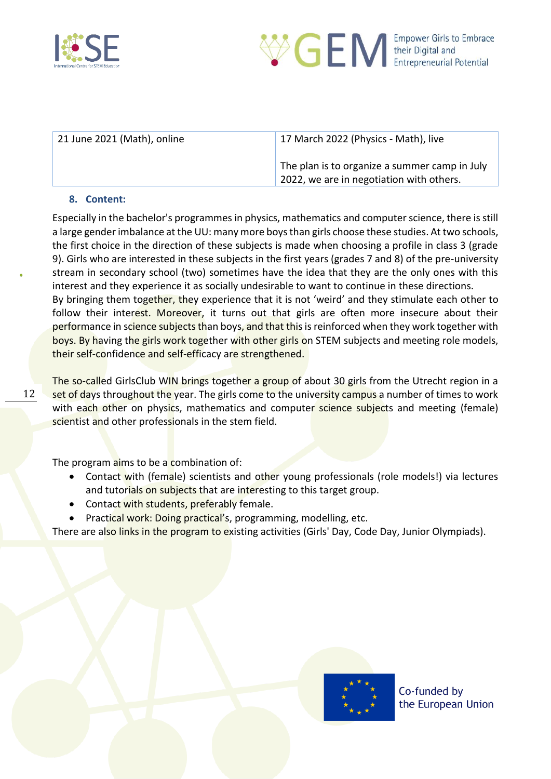



| 21 June 2021 (Math), online | 17 March 2022 (Physics - Math), live                                                      |
|-----------------------------|-------------------------------------------------------------------------------------------|
|                             | The plan is to organize a summer camp in July<br>2022, we are in negotiation with others. |

### **8. Content:**

12

Especially in the bachelor's programmes in physics, mathematics and computer science, there is still a large gender imbalance at the UU: many more boys than girls choose these studies. At two schools, the first choice in the direction of these subjects is made when choosing a profile in class 3 (grade 9). Girls who are interested in these subjects in the first years (grades 7 and 8) of the pre-university stream in secondary school (two) sometimes have the idea that they are the only ones with this interest and they experience it as socially undesirable to want to continue in these directions. By bringing them together, they experience that it is not 'weird' and they stimulate each other to

follow their interest. Moreover, it turns out that girls are often more insecure about their performance in science subjects than boys, and that this is reinforced when they work together with boys. By having the girls work together with other girls on STEM subjects and meeting role models, their self-confidence and self-efficacy are strengthened.

The so-called GirlsClub WIN brings together a group of about 30 girls from the Utrecht region in a set of days throughout the year. The girls come to the university campus a number of times to work with each other on physics, mathematics and computer science subjects and meeting (female) scientist and other professionals in the stem field.

The program aims to be a combination of:

- Contact with (female) scientists and other young professionals (role models!) via lectures and tutorials on subjects that are interesting to this target group.
- Contact with students, preferably female.
- Practical work: Doing practical's, programming, modelling, etc.

There are also links in the program to existing activities (Girls' Day, Code Day, Junior Olympiads).

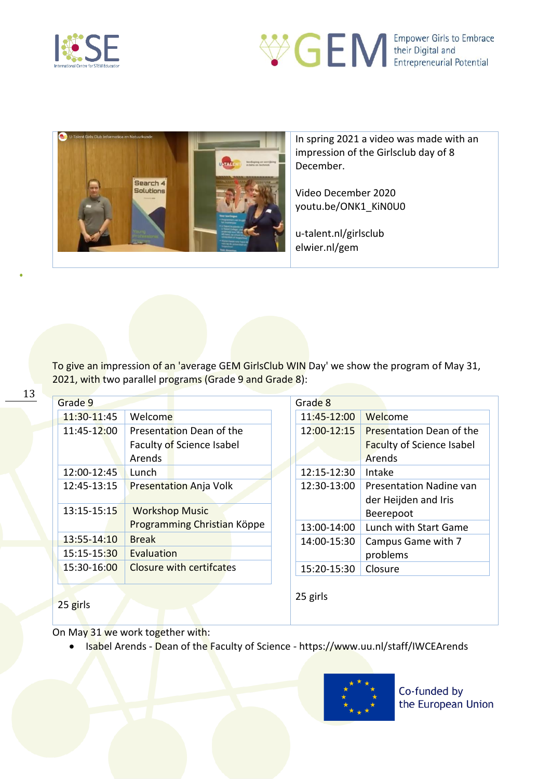

Search 4



In spring 2021 a video was made with an impression of the Girlsclub day of 8 December.

Video December 2020 youtu.be/ONK1\_KiN0U0

u-talent.nl/girlsclub elwier.nl/gem

To give an impression of an 'average GEM GirlsClub WIN Day' we show the program of May 31, 2021, with two parallel programs (Grade 9 and Grade 8):

| Grade 9       |                                 | Grade 8     |                                                        |
|---------------|---------------------------------|-------------|--------------------------------------------------------|
| 11:30-11:45   | Welcome                         | 11:45-12:00 | Welcome                                                |
| 11:45-12:00   | Presentation Dean of the        | 12:00-12:15 | <b>Presentation Dean of the</b>                        |
|               | Faculty of Science Isabel       |             | <b>Faculty of Science Isabel</b>                       |
|               | Arends                          |             | Arends                                                 |
| 12:00-12:45   | Lunch                           | 12:15-12:30 | Intake                                                 |
| 12:45-13:15   | <b>Presentation Anja Volk</b>   | 12:30-13:00 | <b>Presentation Nadine van</b><br>der Heijden and Iris |
| 13:15-15:15   | <b>Workshop Music</b>           |             | Beerepoot                                              |
|               | Programming Christian Köppe     | 13:00-14:00 | Lunch with Start Game                                  |
| 13:55-14:10   | <b>Break</b>                    | 14:00-15:30 | Campus Game with 7                                     |
| 15:15-15:30   | Evaluation                      |             | problems                                               |
| 15:30-16:00   | <b>Closure with certifcates</b> | 15:20-15:30 | Closure                                                |
| $2.5 \pm 1.1$ |                                 | 25 girls    |                                                        |

On May 31 we work together with:

25 girls

• Isabel Arends - Dean of the Faculty of Science - https://www.uu.nl/staff/IWCEArends



13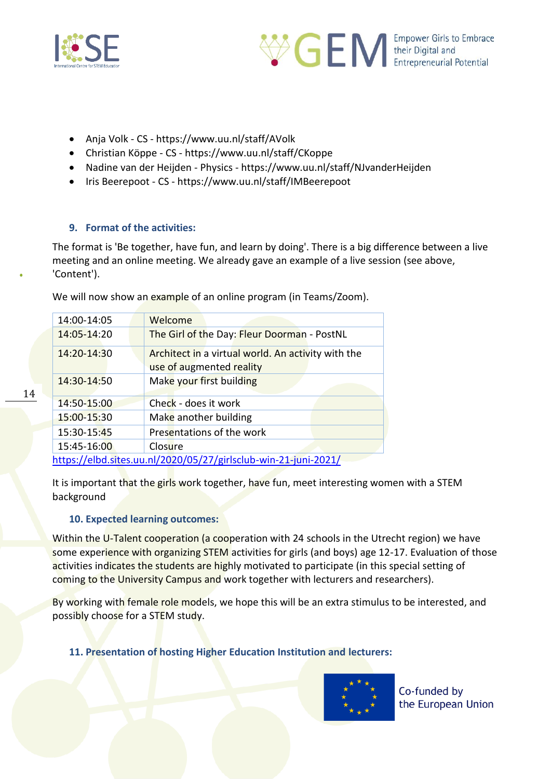



- Anja Volk CS https://www.uu.nl/staff/AVolk
- Christian Köppe CS https://www.uu.nl/staff/CKoppe
- Nadine van der Heijden Physics https://www.uu.nl/staff/NJvanderHeijden
- Iris Beerepoot CS https://www.uu.nl/staff/IMBeerepoot

### **9. Format of the activities:**

The format is 'Be together, have fun, and learn by doing'. There is a big difference between a live meeting and an online meeting. We already gave an example of a live session (see above, 'Content').

We will now show an example of an online program (in Teams/Zoom).

| 14:00-14:05 | Welcome                                                         |
|-------------|-----------------------------------------------------------------|
| 14:05-14:20 | The Girl of the Day: Fleur Doorman - PostNL                     |
| 14:20-14:30 | Architect in a virtual world. An activity with the              |
|             | use of augmented reality                                        |
| 14:30-14:50 | Make your first building                                        |
|             |                                                                 |
| 14:50-15:00 | Check - does it work                                            |
| 15:00-15:30 | Make another building                                           |
| 15:30-15:45 | Presentations of the work                                       |
| 15:45-16:00 | Closure                                                         |
|             | https://elbd.sites.uu.nl/2020/05/27/girlsclub-win-21-juni-2021/ |

It is important that the girls work together, have fun, meet interesting women with a STEM background

### **10. Expected learning outcomes:**

Within the U-Talent cooperation (a cooperation with 24 schools in the Utrecht region) we have some experience with organizing STEM activities for girls (and boys) age 12-17. Evaluation of those activities indicates the students are highly motivated to participate (in this special setting of coming to the University Campus and work together with lecturers and researchers).

By working with female role models, we hope this will be an extra stimulus to be interested, and possibly choose for a STEM study.

**11. Presentation of hosting Higher Education Institution and lecturers:**

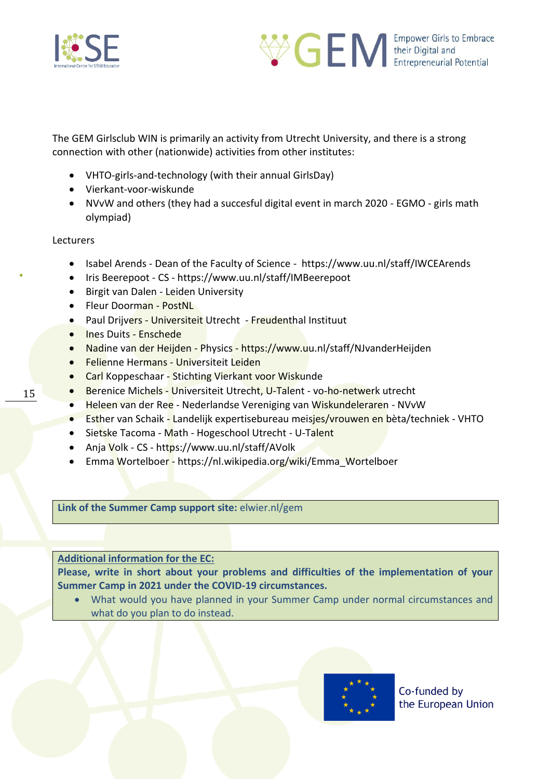



The GEM Girlsclub WIN is primarily an activity from Utrecht University, and there is a strong connection with other (nationwide) activities from other institutes:

- VHTO-girls-and-technology (with their annual GirlsDay)
- Vierkant-voor-wiskunde
- NVvW and others (they had a succesful digital event in march 2020 EGMO girls math olympiad)

**Lecturers** 

- Isabel Arends Dean of the Faculty of Science https://www.uu.nl/staff/IWCEArends
- Iris Beerepoot CS https://www.uu.nl/staff/IMBeerepoot
- Birgit van Dalen Leiden University
- Fleur Doorman PostNL
- Paul Drijvers Universiteit Utrecht Freudenthal Instituut
- Ines Duits Enschede
- Nadine van der Heijden Physics https://www.uu.nl/staff/NJvanderHeijden
- **Felienne Hermans Universiteit Leiden**
- Carl Koppeschaar Stichting Vierkant voor Wiskunde
- Berenice Michels Universiteit Utrecht, U-Talent vo-ho-netwerk utrecht
- Heleen van der Ree Nederlandse Vereniging van Wiskundeleraren NVvW
- Esther van Schaik Landelijk expertisebureau meisjes/vrouwen en bèta/techniek VHTO
- Sietske Tacoma Math Hogeschool Utrecht U-Talent
- Anja Volk CS https://www.uu.nl/staff/AVolk
- Emma Wortelboer https://nl.wikipedia.org/wiki/Emma\_Wortelboer

**Link of the Summer Camp support site:** elwier.nl/gem

### **Additional information for the EC:**

**Please, write in short about your problems and difficulties of the implementation of your Summer Camp in 2021 under the COVID-19 circumstances.** 

• What would you have planned in your Summer Camp under normal circumstances and what do you plan to do instead.



15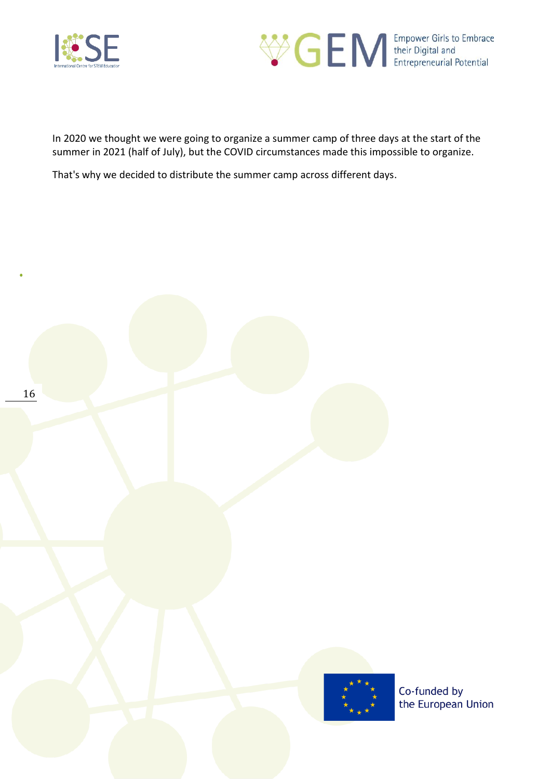



In 2020 we thought we were going to organize a summer camp of three days at the start of the summer in 2021 (half of July), but the COVID circumstances made this impossible to organize.

That's why we decided to distribute the summer camp across different days.

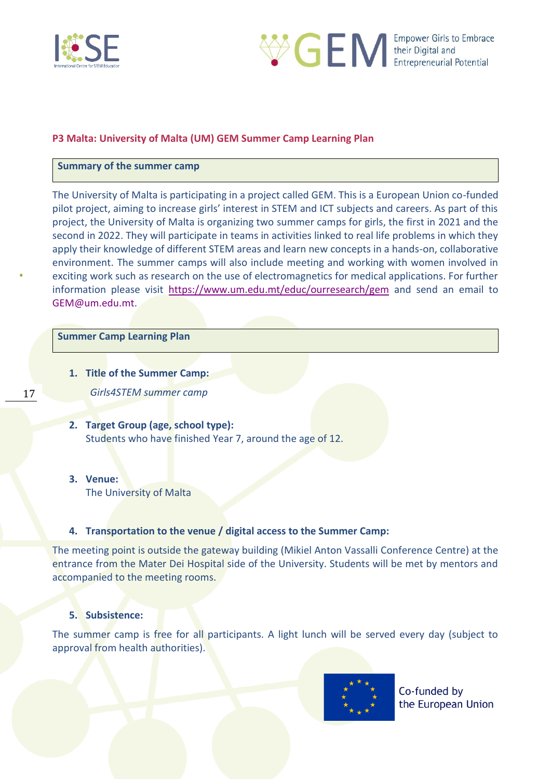



### <span id="page-16-0"></span>**P3 Malta: University of Malta (UM) GEM Summer Camp Learning Plan**

#### **Summary of the summer camp**

The University of Malta is participating in a project called GEM. This is a European Union co-funded pilot project, aiming to increase girls' interest in STEM and ICT subjects and careers. As part of this project, the University of Malta is organizing two summer camps for girls, the first in 2021 and the second in 2022. They will participate in teams in activities linked to real life problems in which they apply their knowledge of different STEM areas and learn new concepts in a hands-on, collaborative environment. The summer camps will also include meeting and working with women involved in exciting work such as research on the use of electromagnetics for medical applications. For further information please visit <https://www.um.edu.mt/educ/ourresearch/gem> and send an email to GEM@um.edu.mt.

#### **Summer Camp Learning Plan**

**1. Title of the Summer Camp:** 

*Girls4STEM summer camp*

- **2. Target Group (age, school type):**  Students who have finished Year 7, around the age of 12.
- **3. Venue:**

The University of Malta

#### **4. Transportation to the venue / digital access to the Summer Camp:**

The meeting point is outside the gateway building (Mikiel Anton Vassalli Conference Centre) at the entrance from the Mater Dei Hospital side of the University. Students will be met by mentors and accompanied to the meeting rooms.

#### **5. Subsistence:**

The summer camp is free for all participants. A light lunch will be served every day (subject to approval from health authorities).



Co-funded by the European Union

17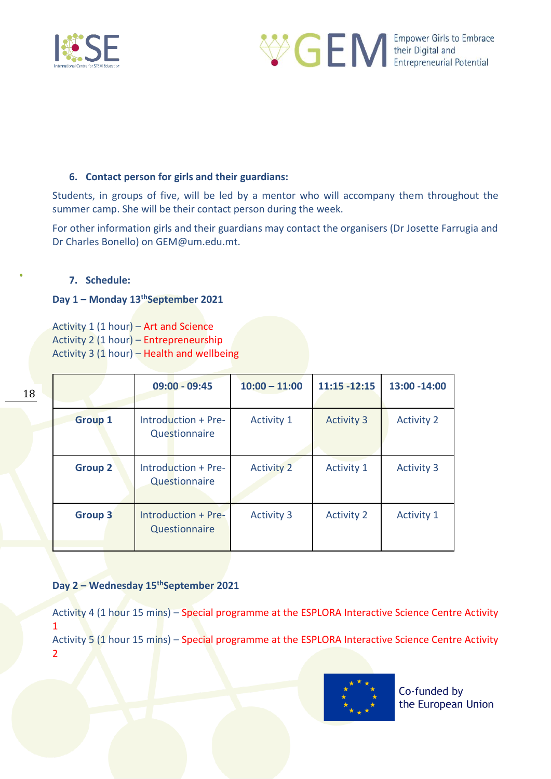



### **6. Contact person for girls and their guardians:**

Students, in groups of five, will be led by a mentor who will accompany them throughout the summer camp. She will be their contact person during the week.

For other information girls and their guardians may contact the organisers (Dr Josette Farrugia and Dr Charles Bonello) on GEM@um.edu.mt.

### **7. Schedule:**

### **Day 1 – Monday 13thSeptember 2021**

Activity 1 (1 hour) – Art and Science Activity 2 (1 hour) – Entrepreneurship Activity 3 (1 hour) – Health and wellbeing

|                | $09:00 - 09:45$                      | $10:00 - 11:00$   | $11:15 - 12:15$   | 13:00 -14:00      |
|----------------|--------------------------------------|-------------------|-------------------|-------------------|
| <b>Group 1</b> | Introduction + Pre-<br>Questionnaire | <b>Activity 1</b> | <b>Activity 3</b> | <b>Activity 2</b> |
| <b>Group 2</b> | Introduction + Pre-<br>Questionnaire | <b>Activity 2</b> | <b>Activity 1</b> | <b>Activity 3</b> |
| <b>Group 3</b> | Introduction + Pre-<br>Questionnaire | <b>Activity 3</b> | <b>Activity 2</b> | <b>Activity 1</b> |

### **Day 2 – Wednesday 15thSeptember 2021**

Activity 4 (1 hour 15 mins) – Special programme at the ESPLORA Interactive Science Centre Activity 1 Activity 5 (1 hour 15 mins) – Special programme at the ESPLORA Interactive Science Centre Activity 2

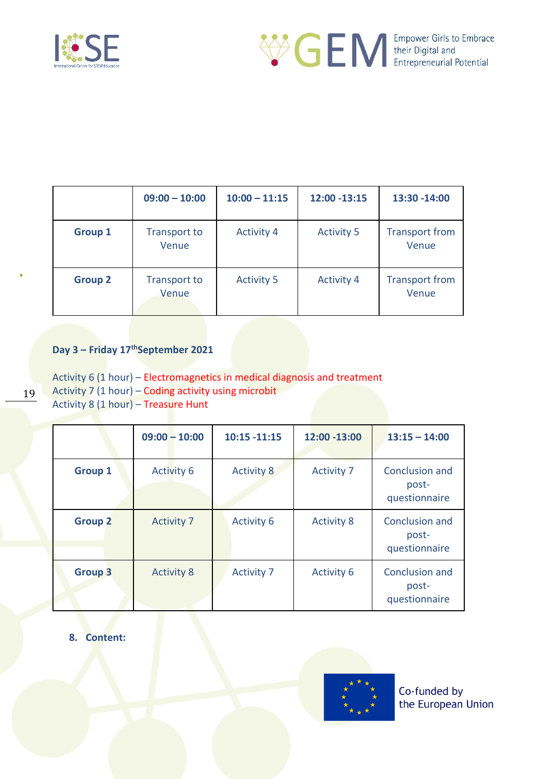



|                | $09:00 - 10:00$              | $10:00 - 11:15$   | 12:00 -13:15      | 13:30 - 14:00                  |
|----------------|------------------------------|-------------------|-------------------|--------------------------------|
| <b>Group 1</b> | <b>Transport to</b><br>Venue | <b>Activity 4</b> | <b>Activity 5</b> | <b>Transport from</b><br>Venue |
| <b>Group 2</b> | <b>Transport to</b><br>Venue | <b>Activity 5</b> | <b>Activity 4</b> | <b>Transport from</b><br>Venue |

### **Day 3 – Friday 17thSeptember 2021**

19

Activity 6 (1 hour) – Electromagnetics in medical diagnosis and treatment Activity 7 (1 hour) – Coding activity using microbit Activity 8 (1 hour) – Treasure Hunt

|                | $09:00 - 10:00$   | $10:15 - 11:15$   | 12:00 -13:00      | $13:15 - 14:00$                          |
|----------------|-------------------|-------------------|-------------------|------------------------------------------|
| <b>Group 1</b> | <b>Activity 6</b> | <b>Activity 8</b> | <b>Activity 7</b> | Conclusion and<br>post-<br>questionnaire |
| <b>Group 2</b> | <b>Activity 7</b> | <b>Activity 6</b> | <b>Activity 8</b> | Conclusion and<br>post-<br>questionnaire |
| <b>Group 3</b> | <b>Activity 8</b> | <b>Activity 7</b> | <b>Activity 6</b> | Conclusion and<br>post-<br>questionnaire |

**8. Content:**

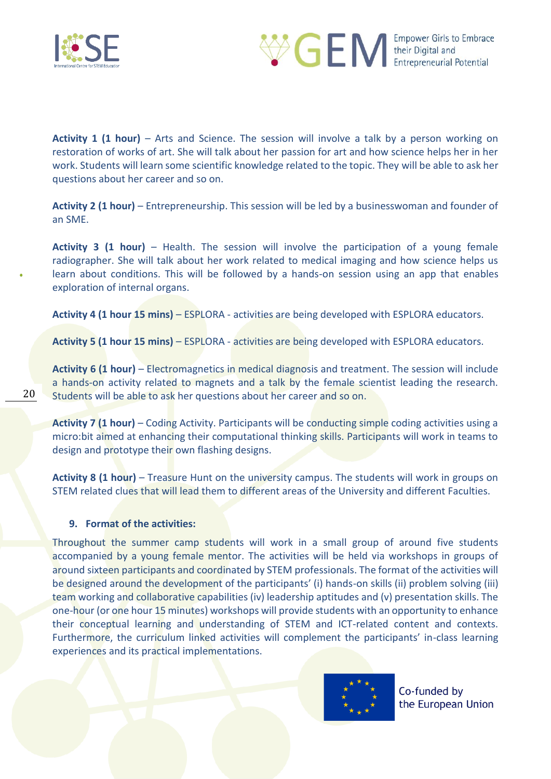

20



**Activity 1 (1 hour)** – Arts and Science. The session will involve a talk by a person working on restoration of works of art. She will talk about her passion for art and how science helps her in her work. Students will learn some scientific knowledge related to the topic. They will be able to ask her questions about her career and so on.

**Activity 2 (1 hour)** – Entrepreneurship. This session will be led by a businesswoman and founder of an SME.

**Activity 3 (1 hour)** – Health. The session will involve the participation of a young female radiographer. She will talk about her work related to medical imaging and how science helps us learn about conditions. This will be followed by a hands-on session using an app that enables exploration of internal organs.

**Activity 4 (1 hour 15 mins)** – ESPLORA - activities are being developed with ESPLORA educators.

**Activity 5 (1 hour 15 mins)** – ESPLORA - activities are being developed with ESPLORA educators.

**Activity 6 (1 hour)** – Electromagnetics in medical diagnosis and treatment. The session will include a hands-on activity related to magnets and a talk by the female scientist leading the research. Students will be able to ask her questions about her career and so on.

**Activity 7 (1 hour)** – Coding Activity. Participants will be conducting simple coding activities using a micro:bit aimed at enhancing their computational thinking skills. Participants will work in teams to design and prototype their own flashing designs.

**Activity 8 (1 hour)** – Treasure Hunt on the university campus. The students will work in groups on STEM related clues that will lead them to different areas of the University and different Faculties.

### **9. Format of the activities:**

Throughout the summer camp students will work in a small group of around five students accompanied by a young female mentor. The activities will be held via workshops in groups of around sixteen participants and coordinated by STEM professionals. The format of the activities will be designed around the development of the participants' (i) hands-on skills (ii) problem solving (iii) team working and collaborative capabilities (iv) leadership aptitudes and (v) presentation skills. The one-hour (or one hour 15 minutes) workshops will provide students with an opportunity to enhance their conceptual learning and understanding of STEM and ICT-related content and contexts. Furthermore, the curriculum linked activities will complement the participants' in-class learning experiences and its practical implementations.

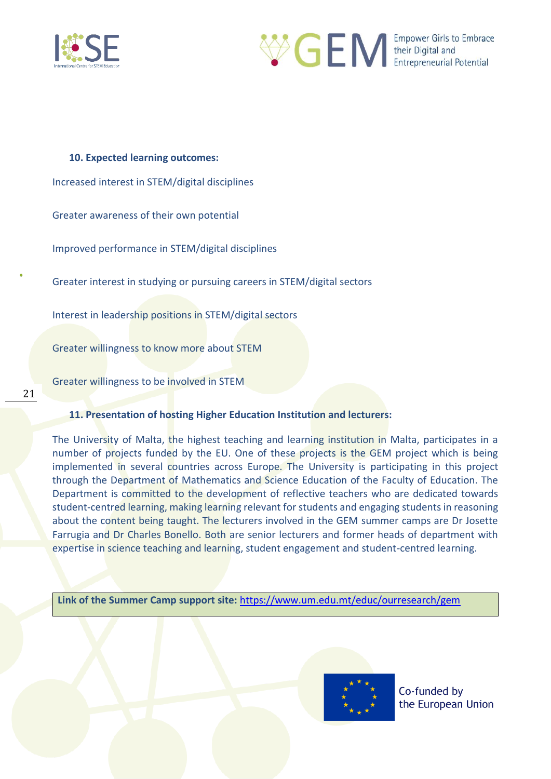



**10. Expected learning outcomes:** Increased interest in STEM/digital disciplines Greater awareness of their own potential Improved performance in STEM/digital disciplines Greater interest in studying or pursuing careers in STEM/digital sectors Interest in leadership positions in STEM/digital sectors Greater willingness to know more about STEM

Greater willingness to be involved in STEM

21

### **11. Presentation of hosting Higher Education Institution and lecturers:**

The University of Malta, the highest teaching and learning institution in Malta, participates in a number of projects funded by the EU. One of these projects is the GEM project which is being implemented in several countries across Europe. The University is participating in this project through the Department of Mathematics and Science Education of the Faculty of Education. The Department is committed to the development of reflective teachers who are dedicated towards student-centred learning, making learning relevant for students and engaging students in reasoning about the content being taught. The lecturers involved in the GEM summer camps are Dr Josette Farrugia and Dr Charles Bonello. Both are senior lecturers and former heads of department with expertise in science teaching and learning, student engagement and student-centred learning.

**Link of the Summer Camp support site:** <https://www.um.edu.mt/educ/ourresearch/gem>

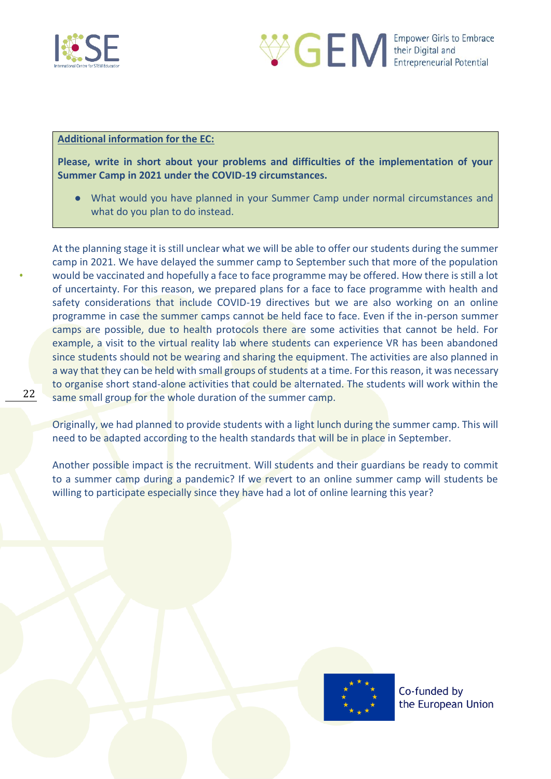



### **Additional information for the EC:**

**Please, write in short about your problems and difficulties of the implementation of your Summer Camp in 2021 under the COVID-19 circumstances.** 

● What would you have planned in your Summer Camp under normal circumstances and what do you plan to do instead.

At the planning stage it is still unclear what we will be able to offer our students during the summer camp in 2021. We have delayed the summer camp to September such that more of the population would be vaccinated and hopefully a face to face programme may be offered. How there is still a lot of uncertainty. For this reason, we prepared plans for a face to face programme with health and safety considerations that include COVID-19 directives but we are also working on an online programme in case the summer camps cannot be held face to face. Even if the in-person summer camps are possible, due to health protocols there are some activities that cannot be held. For example, a visit to the virtual reality lab where students can experience VR has been abandoned since students should not be wearing and sharing the equipment. The activities are also planned in a way that they can be held with small groups of students at a time. For this reason, it was necessary to organise short stand-alone activities that could be alternated. The students will work within the same small group for the whole duration of the summer camp.

Originally, we had planned to provide students with a light lunch during the summer camp. This will need to be adapted according to the health standards that will be in place in September.

Another possible impact is the recruitment. Will students and their guardians be ready to commit to a summer camp during a pandemic? If we revert to an online summer camp will students be willing to participate especially since they have had a lot of online learning this year?

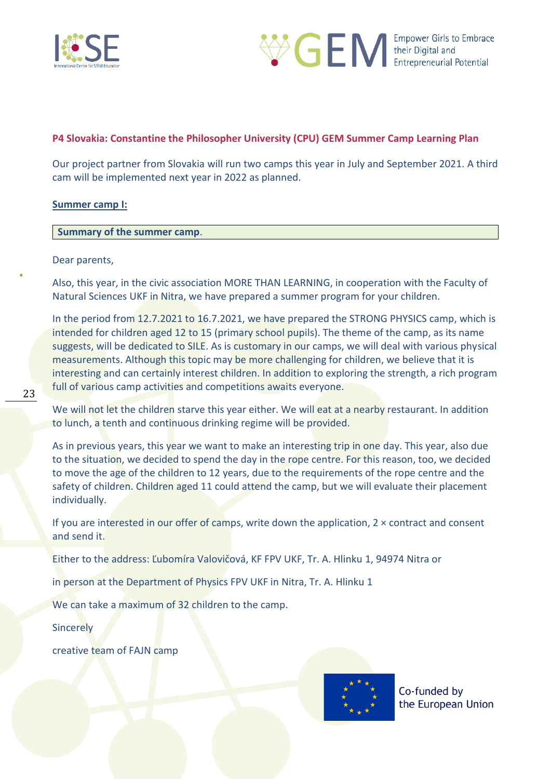



### <span id="page-22-0"></span>**P4 Slovakia: Constantine the Philosopher University (CPU) GEM Summer Camp Learning Plan**

Our project partner from Slovakia will run two camps this year in July and September 2021. A third cam will be implemented next year in 2022 as planned.

#### **Summer camp I:**

#### **Summary of the summer camp**.

#### Dear parents,

Also, this year, in the civic association MORE THAN LEARNING, in cooperation with the Faculty of Natural Sciences UKF in Nitra, we have prepared a summer program for your children.

In the period from 12.7.2021 to 16.7.2021, we have prepared the STRONG PHYSICS camp, which is intended for children aged 12 to 15 (primary school pupils). The theme of the camp, as its name suggests, will be dedicated to SILE. As is customary in our camps, we will deal with various physical measurements. Although this topic may be more challenging for children, we believe that it is interesting and can certainly interest children. In addition to exploring the strength, a rich program full of various camp activities and competitions awaits everyone.

We will not let the children starve this year either. We will eat at a nearby restaurant. In addition to lunch, a tenth and continuous drinking regime will be provided.

As in previous years, this year we want to make an interesting trip in one day. This year, also due to the situation, we decided to spend the day in the rope centre. For this reason, too, we decided to move the age of the children to 12 years, due to the requirements of the rope centre and the safety of children. Children aged 11 could attend the camp, but we will evaluate their placement individually.

If you are interested in our offer of camps, write down the application,  $2 \times$  contract and consent and send it.

Either to the address: Ľubomíra Valovičová, KF FPV UKF, Tr. A. Hlinku 1, 94974 Nitra or

in person at the Department of Physics FPV UKF in Nitra, Tr. A. Hlinku 1

We can take a maximum of 32 children to the camp.

**Sincerely** 

creative team of FAJN camp

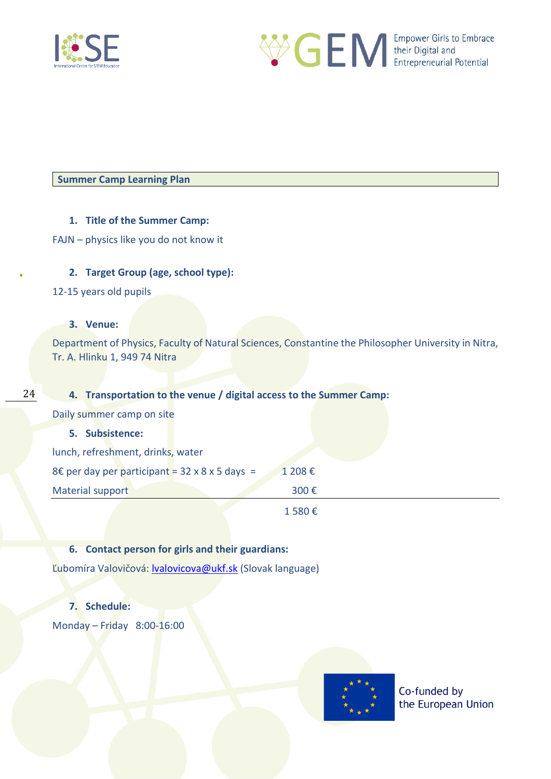



**Summer Camp Learning Plan**

### **1. Title of the Summer Camp:**

FAJN – physics like you do not know it

### **2. Target Group (age, school type):**

12-15 years old pupils

### **3. Venue:**

Department of Physics, Faculty of Natural Sciences, Constantine the Philosopher University in Nitra, Tr. A. Hlinku 1, 949 74 Nitra

#### 24

### **4. Transportation to the venue / digital access to the Summer Camp:**

Daily summer camp on site

#### **5. Subsistence:**

| lunch, refreshment, drinks, water |                                                |  |        |
|-----------------------------------|------------------------------------------------|--|--------|
|                                   | 8€ per day per participant = 32 x 8 x 5 days = |  | 1 208€ |

Material support 300 €

1 580 €

### **6. Contact person for girls and their guardians:**

Ľubomíra Valovičová: valovicova@ukf.sk (Slovak language)

### **7. Schedule:**

Monday – Friday 8:00-16:00

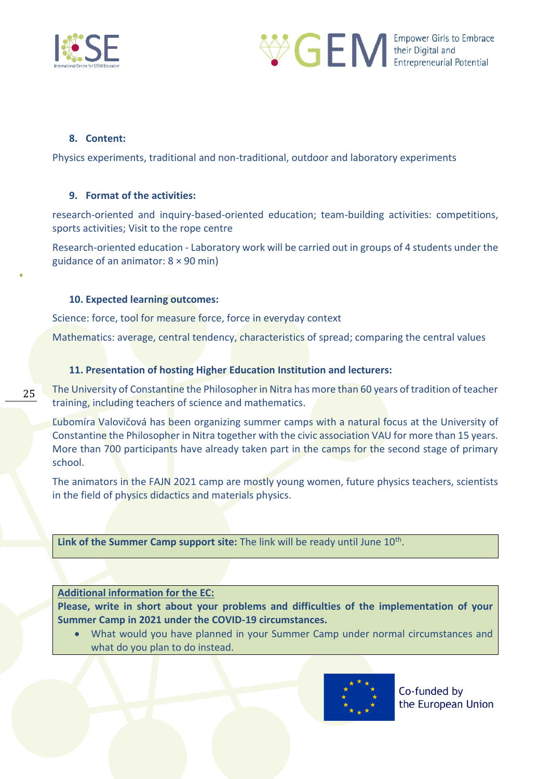



### **8. Content:**

25

Physics experiments, traditional and non-traditional, outdoor and laboratory experiments

### **9. Format of the activities:**

research-oriented and inquiry-based-oriented education; team-building activities: competitions, sports activities; Visit to the rope centre

Research-oriented education - Laboratory work will be carried out in groups of 4 students under the guidance of an animator: 8 × 90 min)

### **10. Expected learning outcomes:**

Science: force, tool for measure force, force in everyday context

Mathematics: average, central tendency, characteristics of spread; comparing the central values

### **11. Presentation of hosting Higher Education Institution and lecturers:**

The University of Constantine the Philosopher in Nitra has more than 60 years of tradition of teacher training, including teachers of science and mathematics.

Ľubomíra Valovičová has been organizing summer camps with a natural focus at the University of Constantine the Philosopher in Nitra together with the civic association VAU for more than 15 years. More than 700 participants have already taken part in the camps for the second stage of primary school.

The animators in the FAJN 2021 camp are mostly young women, future physics teachers, scientists in the field of physics didactics and materials physics.

Link of the Summer Camp support site: The link will be ready until June 10<sup>th</sup>.

### **Additional information for the EC:**

**Please, write in short about your problems and difficulties of the implementation of your Summer Camp in 2021 under the COVID-19 circumstances.** 

• What would you have planned in your Summer Camp under normal circumstances and what do you plan to do instead.

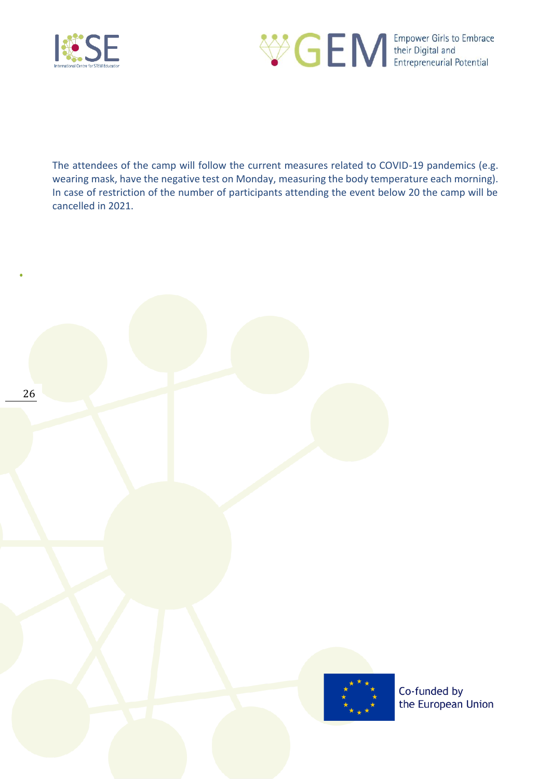



The attendees of the camp will follow the current measures related to COVID-19 pandemics (e.g. wearing mask, have the negative test on Monday, measuring the body temperature each morning). In case of restriction of the number of participants attending the event below 20 the camp will be cancelled in 2021.

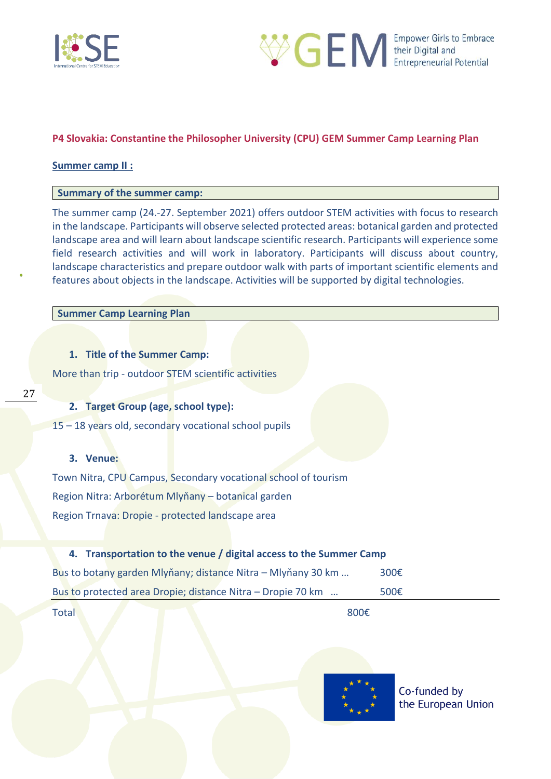



### <span id="page-26-0"></span>**P4 Slovakia: Constantine the Philosopher University (CPU) GEM Summer Camp Learning Plan**

#### **Summer camp II :**

### **Summary of the summer camp:**

The summer camp (24.-27. September 2021) offers outdoor STEM activities with focus to research in the landscape. Participants will observe selected protected areas: botanical garden and protected landscape area and will learn about landscape scientific research. Participants will experience some field research activities and will work in laboratory. Participants will discuss about country, landscape characteristics and prepare outdoor walk with parts of important scientific elements and features about objects in the landscape. Activities will be supported by digital technologies.

#### **Summer Camp Learning Plan**

### **1. Title of the Summer Camp:**

More than trip - outdoor STEM scientific activities

### **2. Target Group (age, school type):**

15 – 18 years old, secondary vocational school pupils

### **3. Venue:**

Town Nitra, CPU Campus, Secondary vocational school of tourism Region Nitra: Arborétum Mlyňany – botanical garden Region Trnava: Dropie - protected landscape area

#### **4. Transportation to the venue / digital access to the Summer Camp**

| Bus to botany garden Mlyňany; distance Nitra – Mlyňany 30 km | 300 $\epsilon$ |
|--------------------------------------------------------------|----------------|
| Bus to protected area Dropie; distance Nitra – Dropie 70 km  | 500 $\epsilon$ |
|                                                              |                |

Total 800€

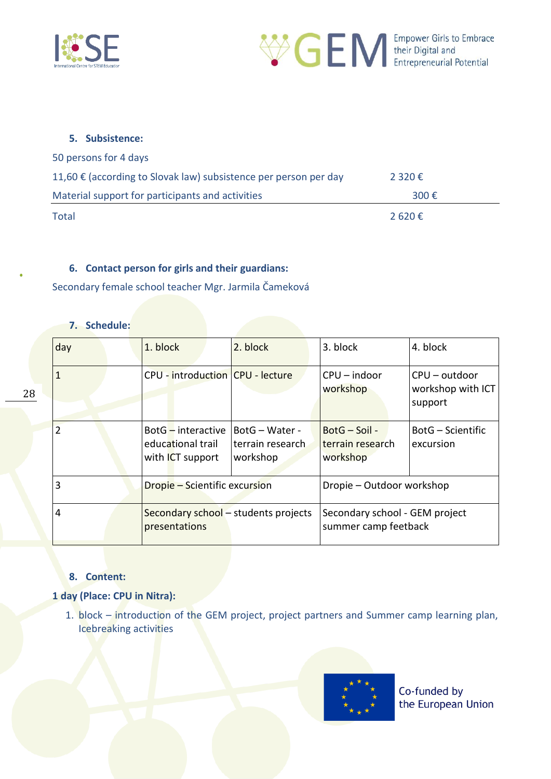



### **5. Subsistence:**

| 50 persons for 4 days                                            |                |
|------------------------------------------------------------------|----------------|
| 11,60 € (according to Slovak law) subsistence per person per day | 2 3 2 0 €      |
| Material support for participants and activities                 | 300 $\epsilon$ |
| Total                                                            | 2 620€         |

### **6. Contact person for girls and their guardians:**

Secondary female school teacher Mgr. Jarmila Čameková

### **7. Schedule:**

| day            | 1. block                                                         | 2. block                                       | 3. block                                               | 4. block                                        |
|----------------|------------------------------------------------------------------|------------------------------------------------|--------------------------------------------------------|-------------------------------------------------|
| $\mathbf{1}$   | CPU - introduction CPU - lecture                                 |                                                | $CPU$ – indoor<br>workshop                             | $CPU - outdoor$<br>workshop with ICT<br>support |
| $\overline{2}$ | BotG-interactive<br>educational trail<br>with <b>ICT</b> support | BotG - Water -<br>terrain research<br>workshop | BotG - Soil -<br>terrain research<br>workshop          | BotG – Scientific<br>excursion                  |
| 3              | <b>Dropie – Scientific excursion</b>                             |                                                | Dropie – Outdoor workshop                              |                                                 |
| 4              | Secondary school - students projects<br>presentations            |                                                | Secondary school - GEM project<br>summer camp feetback |                                                 |

### **8. Content:**

### **1 day (Place: CPU in Nitra):**

1. block – introduction of the GEM project, project partners and Summer camp learning plan, Icebreaking activities

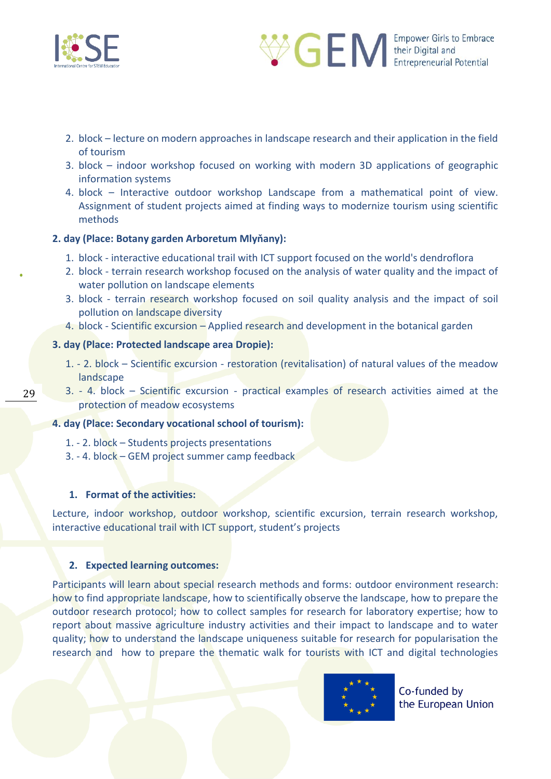



- 2. block lecture on modern approaches in landscape research and their application in the field of tourism
- 3. block indoor workshop focused on working with modern 3D applications of geographic information systems
- 4. block Interactive outdoor workshop Landscape from a mathematical point of view. Assignment of student projects aimed at finding ways to modernize tourism using scientific methods

### **2. day (Place: Botany garden Arboretum Mlyňany):**

- 1. block interactive educational trail with ICT support focused on the world's dendroflora
- 2. block terrain research workshop focused on the analysis of water quality and the impact of water pollution on landscape elements
- 3. block terrain research workshop focused on soil quality analysis and the impact of soil pollution on landscape diversity
- 4. block Scientific excursion Applied research and development in the botanical garden

### **3. day (Place: Protected landscape area Dropie):**

- 1. 2. block Scientific excursion restoration (revitalisation) of natural values of the meadow landscape
- 3. 4. block Scientific excursion practical examples of research activities aimed at the protection of meadow ecosystems

#### **4. day (Place: Secondary vocational school of tourism):**

- 1. 2. block Students projects presentations
- 3. 4. block GEM project summer camp feedback

#### **1. Format of the activities:**

Lecture, indoor workshop, outdoor workshop, scientific excursion, terrain research workshop, interactive educational trail with ICT support, student's projects

#### **2. Expected learning outcomes:**

Participants will learn about special research methods and forms: outdoor environment research: how to find appropriate landscape, how to scientifically observe the landscape, how to prepare the outdoor research protocol; how to collect samples for research for laboratory expertise; how to report about massive agriculture industry activities and their impact to landscape and to water quality; how to understand the landscape uniqueness suitable for research for popularisation the research and how to prepare the thematic walk for tourists with ICT and digital technologies



Co-funded by the European Union

29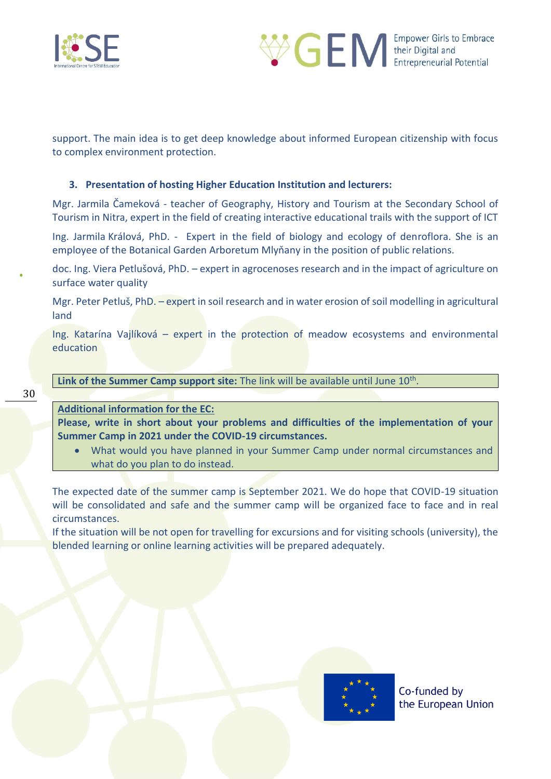



support. The main idea is to get deep knowledge about informed European citizenship with focus to complex environment protection.

### **3. Presentation of hosting Higher Education Institution and lecturers:**

Mgr. Jarmila Čameková - teacher of Geography, History and Tourism at the Secondary School of Tourism in Nitra, expert in the field of creating interactive educational trails with the support of ICT

Ing. Jarmila Králová, PhD. - Expert in the field of biology and ecology of denroflora. She is an employee of the Botanical Garden Arboretum Mlyňany in the position of public relations.

doc. Ing. Viera Petlušová, PhD. – expert in agrocenoses research and in the impact of agriculture on surface water quality

Mgr. Peter Petluš, PhD. – expert in soil research and in water erosion of soil modelling in agricultural land

Ing. Katarína Vajlíková – expert in the protection of meadow ecosystems and environmental education

Link of the Summer Camp support site: The link will be available until June 10<sup>th</sup>.

### **Additional information for the EC:**

**Please, write in short about your problems and difficulties of the implementation of your Summer Camp in 2021 under the COVID-19 circumstances.** 

• What would you have planned in your Summer Camp under normal circumstances and what do you plan to do instead.

The expected date of the summer camp is September 2021. We do hope that COVID-19 situation will be consolidated and safe and the summer camp will be organized face to face and in real circumstances.

If the situation will be not open for travelling for excursions and for visiting schools (university), the blended learning or online learning activities will be prepared adequately.

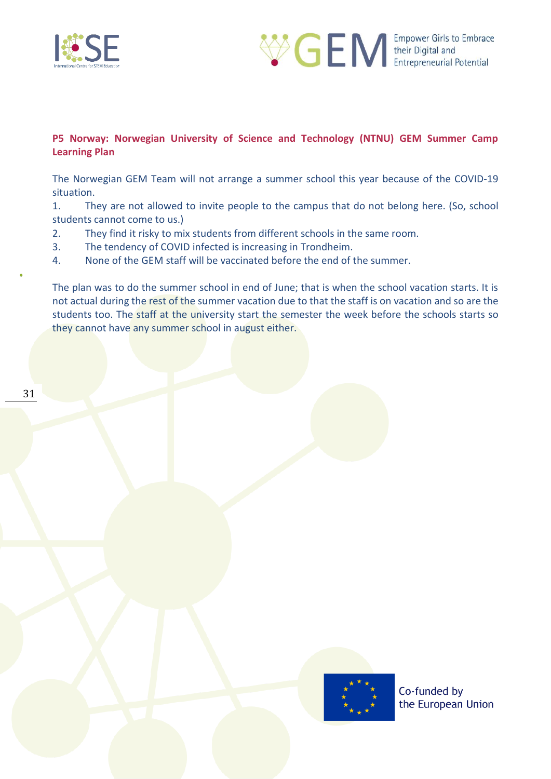



### <span id="page-30-0"></span>**P5 Norway: Norwegian University of Science and Technology (NTNU) GEM Summer Camp Learning Plan**

The Norwegian GEM Team will not arrange a summer school this year because of the COVID-19 situation.

1. They are not allowed to invite people to the campus that do not belong here. (So, school students cannot come to us.)

- 2. They find it risky to mix students from different schools in the same room.
- 3. The tendency of COVID infected is increasing in Trondheim.

4. None of the GEM staff will be vaccinated before the end of the summer.

The plan was to do the summer school in end of June; that is when the school vacation starts. It is not actual during the rest of the summer vacation due to that the staff is on vacation and so are the students too. The staff at the university start the semester the week before the schools starts so they cannot have any summer school in august either.

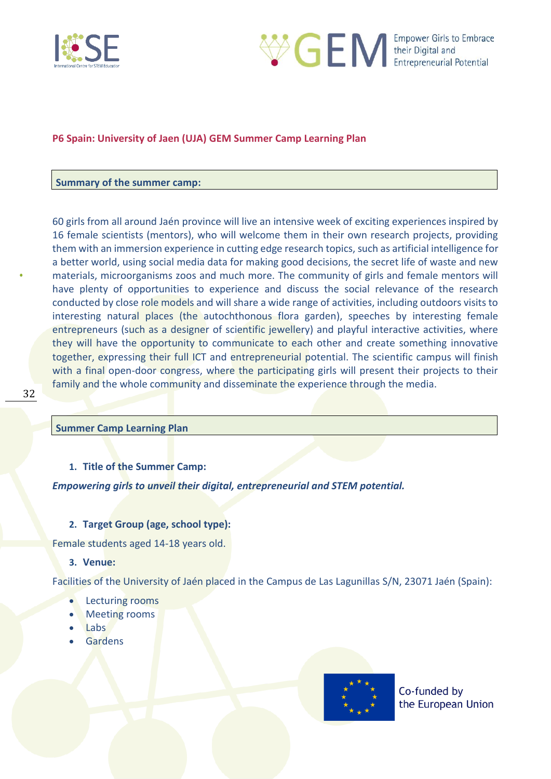



### <span id="page-31-0"></span>**P6 Spain: University of Jaen (UJA) GEM Summer Camp Learning Plan**

#### **Summary of the summer camp:**

60 girls from all around Jaén province will live an intensive week of exciting experiences inspired by 16 female scientists (mentors), who will welcome them in their own research projects, providing them with an immersion experience in cutting edge research topics, such as artificial intelligence for a better world, using social media data for making good decisions, the secret life of waste and new materials, microorganisms zoos and much more. The community of girls and female mentors will have plenty of opportunities to experience and discuss the social relevance of the research conducted by close role models and will share a wide range of activities, including outdoors visits to interesting natural places (the autochthonous flora garden), speeches by interesting female entrepreneurs (such as a designer of scientific jewellery) and playful interactive activities, where they will have the opportunity to communicate to each other and create something innovative together, expressing their full ICT and entrepreneurial potential. The scientific campus will finish with a final open-door congress, where the participating girls will present their projects to their family and the whole community and disseminate the experience through the media.

#### **Summer Camp Learning Plan**

#### **1. Title of the Summer Camp:**

*Empowering girls to unveil their digital, entrepreneurial and STEM potential.*

#### **2. Target Group (age, school type):**

Female students aged 14-18 years old.

#### **3. Venue:**

Facilities of the University of Jaén placed in the Campus de Las Lagunillas S/N, 23071 Jaén (Spain):

- Lecturing rooms
- Meeting rooms
- Labs
- **Gardens**

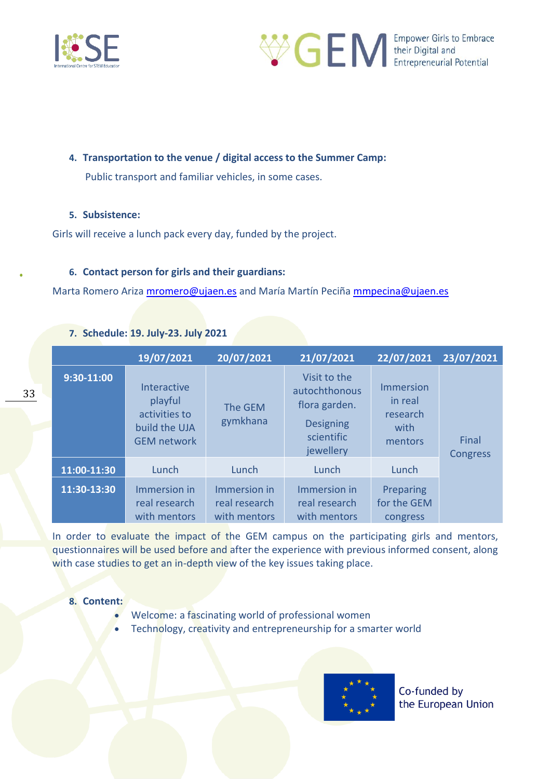



### **4. Transportation to the venue / digital access to the Summer Camp:**

Public transport and familiar vehicles, in some cases.

### **5. Subsistence:**

Girls will receive a lunch pack every day, funded by the project.

### **6. Contact person for girls and their guardians:**

Marta Romero Ariza [mromero@ujaen.es](mailto:mromero@ujaen.es) and María Martín Peciña [mmpecina@ujaen.es](mailto:mmpecina@ujaen.es)

|  |  | 7. Schedule: 19. July-23. July 2021 |  |
|--|--|-------------------------------------|--|
|--|--|-------------------------------------|--|

|              | 19/07/2021                                                                     | 20/07/2021                                    | 21/07/2021                                                                                    | 22/07/2021                                                 | 23/07/2021        |
|--------------|--------------------------------------------------------------------------------|-----------------------------------------------|-----------------------------------------------------------------------------------------------|------------------------------------------------------------|-------------------|
| $9:30-11:00$ | Interactive<br>playful<br>activities to<br>build the UJA<br><b>GEM network</b> | The GEM<br>gymkhana                           | Visit to the<br>autochthonous<br>flora garden.<br><b>Designing</b><br>scientific<br>jewellery | <b>Immersion</b><br>in real<br>research<br>with<br>mentors | Final<br>Congress |
| 11:00-11:30  | Lunch                                                                          | Lunch                                         | Lunch                                                                                         | Lunch                                                      |                   |
| 11:30-13:30  | Immersion in<br>real research<br>with mentors                                  | Immersion in<br>real research<br>with mentors | Immersion in<br>real research<br>with mentors                                                 | Preparing<br>for the GEM<br>congress                       |                   |

In order to evaluate the impact of the GEM campus on the participating girls and mentors, questionnaires will be used before and after the experience with previous informed consent, along with case studies to get an in-depth view of the key issues taking place.

#### **8. Content:**

- Welcome: a fascinating world of professional women
- Technology, creativity and entrepreneurship for a smarter world

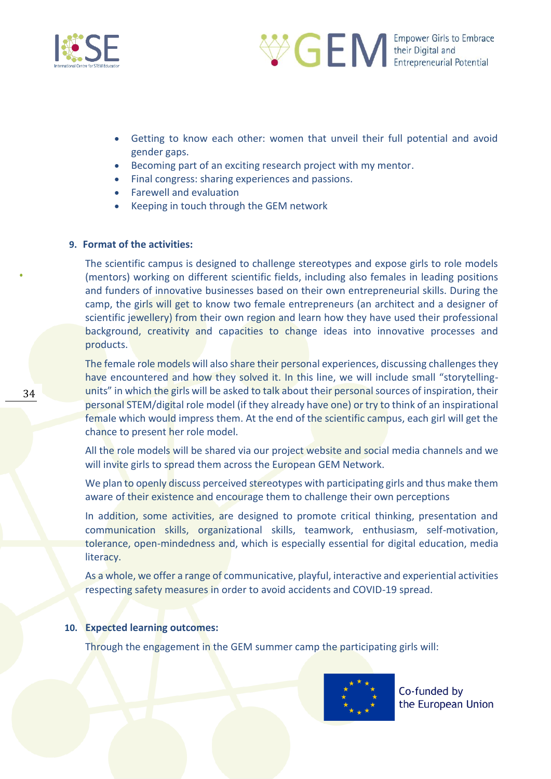



- Getting to know each other: women that unveil their full potential and avoid gender gaps.
- Becoming part of an exciting research project with my mentor.
- Final congress: sharing experiences and passions.
- Farewell and evaluation
- Keeping in touch through the GEM network

#### **9. Format of the activities:**

The scientific campus is designed to challenge stereotypes and expose girls to role models (mentors) working on different scientific fields, including also females in leading positions and funders of innovative businesses based on their own entrepreneurial skills. During the camp, the girls will get to know two female entrepreneurs (an architect and a designer of scientific jewellery) from their own region and learn how they have used their professional background, creativity and capacities to change ideas into innovative processes and products.

The female role models will also share their personal experiences, discussing challenges they have encountered and how they solved it. In this line, we will include small "storytellingunits" in which the girls will be asked to talk about their personal sources of inspiration, their personal STEM/digital role model (if they already have one) or try to think of an inspirational female which would impress them. At the end of the scientific campus, each girl will get the chance to present her role model.

All the role models will be shared via our project website and social media channels and we will invite girls to spread them across the European GEM Network.

We plan to openly discuss perceived stereotypes with participating girls and thus make them aware of their existence and encourage them to challenge their own perceptions

In addition, some activities, are designed to promote critical thinking, presentation and communication skills, organizational skills, teamwork, enthusiasm, self-motivation, tolerance, open-mindedness and, which is especially essential for digital education, media literacy.

As a whole, we offer a range of communicative, playful, interactive and experiential activities respecting safety measures in order to avoid accidents and COVID-19 spread.

#### **10. Expected learning outcomes:**

Through the engagement in the GEM summer camp the participating girls will:

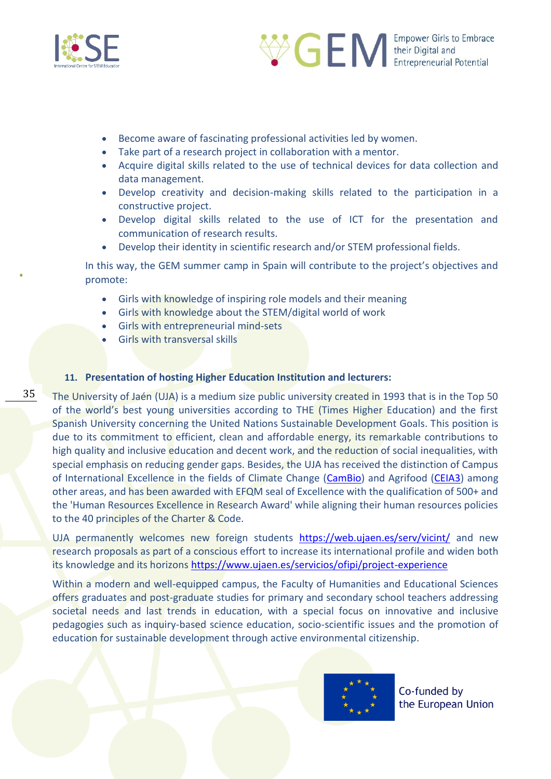

35



- Become aware of fascinating professional activities led by women.
- Take part of a research project in collaboration with a mentor.
- Acquire digital skills related to the use of technical devices for data collection and data management.
- Develop creativity and decision-making skills related to the participation in a constructive project.
- Develop digital skills related to the use of ICT for the presentation and communication of research results.
- Develop their identity in scientific research and/or STEM professional fields.

In this way, the GEM summer camp in Spain will contribute to the project's objectives and promote:

- Girls with knowledge of inspiring role models and their meaning
- Girls with knowledge about the STEM/digital world of work
- Girls with entrepreneurial mind-sets
- Girls with transversal skills

### **11. Presentation of hosting Higher Education Institution and lecturers:**

The University of Jaén (UJA) is a medium size public university created in 1993 that is in the Top 50 of the world's best young universities according to THE (Times Higher Education) and the first Spanish University concerning the United Nations Sustainable Development Goals. This position is due to its commitment to efficient, clean and affordable energy, its remarkable contributions to high quality and inclusive education and decent work, and the reduction of social inequalities, with special emphasis on reducing gender gaps. Besides, the UJA has received the distinction of Campus of International Excellence in the fields of Climate Change [\(CamBio\)](http://www.upo.es/ceicambio/?lang=es) and Agrifood [\(CEIA3\)](http://www.ceia3.es/) among other areas, and has been awarded with EFQM seal of Excellence with the qualification of 500+ and the 'Human Resources Excellence in Research Award' while aligning their human resources policies to the 40 principles of the Charter & Code.

UJA permanently welcomes new foreign students <https://web.ujaen.es/serv/vicint/> and new research proposals as part of a conscious effort to increase its international profile and widen both its knowledge and its horizons<https://www.ujaen.es/servicios/ofipi/project-experience>

Within a modern and well-equipped campus, the Faculty of Humanities and Educational Sciences offers graduates and post-graduate studies for primary and secondary school teachers addressing societal needs and last trends in education, with a special focus on innovative and inclusive pedagogies such as inquiry-based science education, socio-scientific issues and the promotion of education for sustainable development through active environmental citizenship.

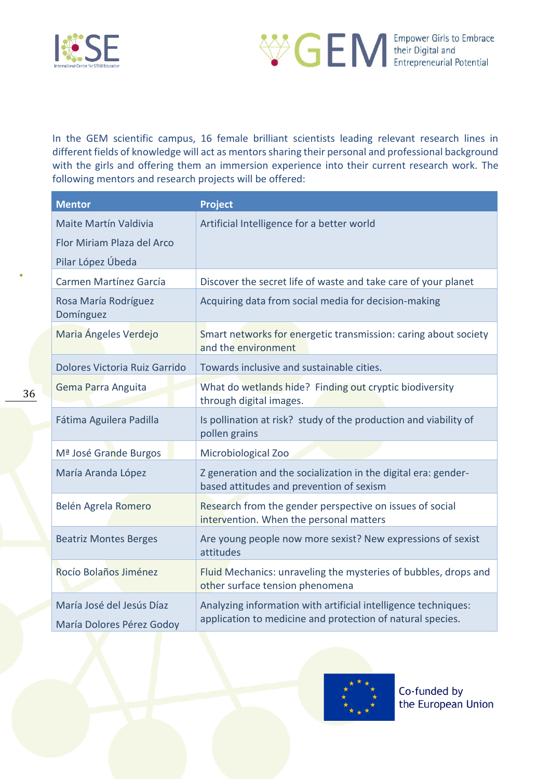



In the GEM scientific campus, 16 female brilliant scientists leading relevant research lines in different fields of knowledge will act as mentors sharing their personal and professional background with the girls and offering them an immersion experience into their current research work. The following mentors and research projects will be offered:

| <b>Mentor</b>                                          | <b>Project</b>                                                                                                               |
|--------------------------------------------------------|------------------------------------------------------------------------------------------------------------------------------|
| <b>Maite Martín Valdivia</b>                           | Artificial Intelligence for a better world                                                                                   |
| Flor Miriam Plaza del Arco                             |                                                                                                                              |
| Pilar López Úbeda                                      |                                                                                                                              |
| Carmen Martínez García                                 | Discover the secret life of waste and take care of your planet                                                               |
| Rosa María Rodríguez<br>Domínguez                      | Acquiring data from social media for decision-making                                                                         |
| Maria Ángeles Verdejo                                  | Smart networks for energetic transmission: caring about society<br>and the environment                                       |
| Dolores Victoria Ruiz Garrido                          | Towards inclusive and sustainable cities.                                                                                    |
| Gema Parra Anguita                                     | What do wetlands hide? Finding out cryptic biodiversity<br>through digital images.                                           |
| Fátima Aguilera Padilla                                | Is pollination at risk? study of the production and viability of<br>pollen grains                                            |
| M <sup>ª</sup> José Grande Burgos                      | Microbiological Zoo                                                                                                          |
| María Aranda López                                     | Z generation and the socialization in the digital era: gender-<br>based attitudes and prevention of sexism                   |
| Belén Agrela Romero                                    | Research from the gender perspective on issues of social<br>intervention. When the personal matters                          |
| <b>Beatriz Montes Berges</b>                           | Are young people now more sexist? New expressions of sexist<br>attitudes                                                     |
| Rocío Bolaños Jiménez                                  | Fluid Mechanics: unraveling the mysteries of bubbles, drops and<br>other surface tension phenomena                           |
| María José del Jesús Díaz<br>María Dolores Pérez Godoy | Analyzing information with artificial intelligence techniques:<br>application to medicine and protection of natural species. |

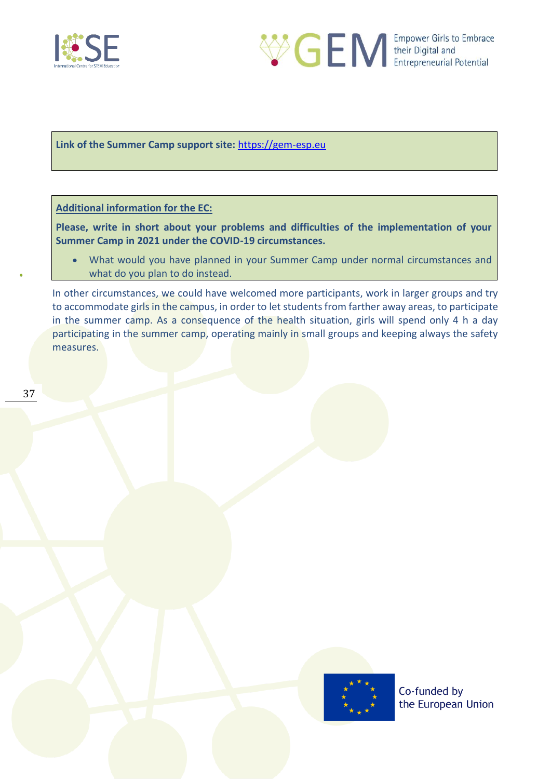



**Link of the Summer Camp support site:** [https://gem-esp.eu](https://gem-esp.eu/)

**Additional information for the EC:** 

**Please, write in short about your problems and difficulties of the implementation of your Summer Camp in 2021 under the COVID-19 circumstances.** 

• What would you have planned in your Summer Camp under normal circumstances and what do you plan to do instead.

In other circumstances, we could have welcomed more participants, work in larger groups and try to accommodate girls in the campus, in order to let students from farther away areas, to participate in the summer camp. As a consequence of the health situation, girls will spend only 4 h a day participating in the summer camp, operating mainly in small groups and keeping always the safety measures.

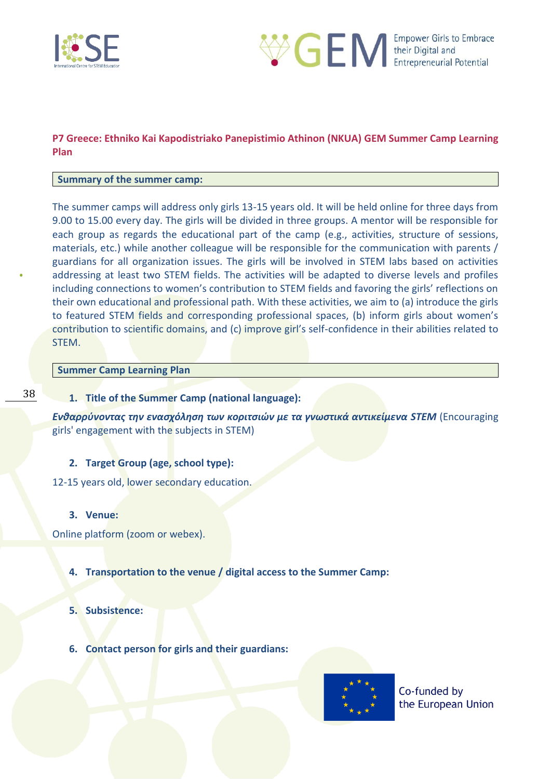



### <span id="page-37-0"></span>**P7 Greece: Ethniko Kai Kapodistriako Panepistimio Athinon (NKUA) GEM Summer Camp Learning Plan**

### **Summary of the summer camp:**

The summer camps will address only girls 13-15 years old. It will be held online for three days from 9.00 to 15.00 every day. The girls will be divided in three groups. A mentor will be responsible for each group as regards the educational part of the camp (e.g., activities, structure of sessions, materials, etc.) while another colleague will be responsible for the communication with parents / guardians for all organization issues. The girls will be involved in STEM labs based on activities addressing at least two STEM fields. The activities will be adapted to diverse levels and profiles including connections to women's contribution to STEM fields and favoring the girls' reflections on their own educational and professional path. With these activities, we aim to (a) introduce the girls to featured STEM fields and corresponding professional spaces, (b) inform girls about women's contribution to scientific domains, and (c) improve girl's self-confidence in their abilities related to STEM.

### **Summer Camp Learning Plan**

#### **1. Title of the Summer Camp (national language):**

*Ενθαρρύνοντας την ενασχόληση των κοριτσιών με τα γνωστικά αντικείμενα STEM* (Encouraging girls' engagement with the subjects in STEM)

### **2. Target Group (age, school type):**

12-15 years old, lower secondary education.

#### **3. Venue:**

Online platform (zoom or webex).

#### **4. Transportation to the venue / digital access to the Summer Camp:**

#### **5. Subsistence:**

**6. Contact person for girls and their guardians:**

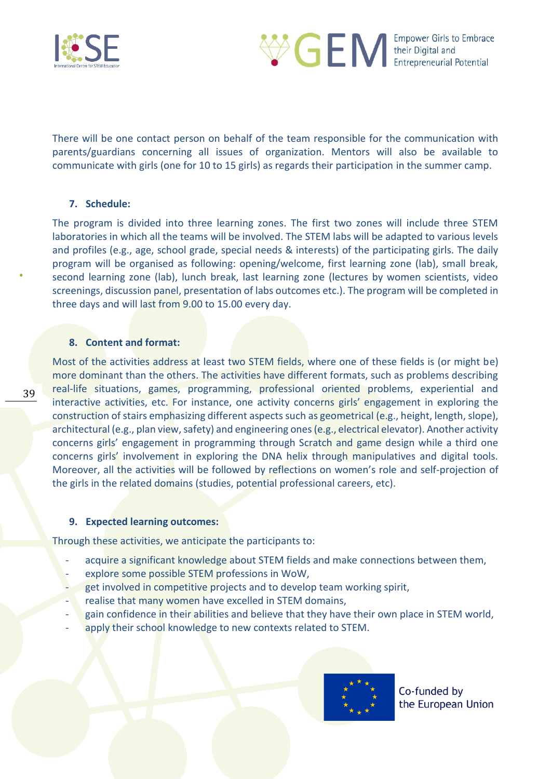



There will be one contact person on behalf of the team responsible for the communication with parents/guardians concerning all issues of organization. Mentors will also be available to communicate with girls (one for 10 to 15 girls) as regards their participation in the summer camp.

### **7. Schedule:**

The program is divided into three learning zones. The first two zones will include three STEM laboratories in which all the teams will be involved. The STEM labs will be adapted to various levels and profiles (e.g., age, school grade, special needs & interests) of the participating girls. The daily program will be organised as following: opening/welcome, first learning zone (lab), small break, second learning zone (lab), lunch break, last learning zone (lectures by women scientists, video screenings, discussion panel, presentation of labs outcomes etc.). The program will be completed in three days and will last from 9.00 to 15.00 every day.

#### **8. Content and format:**

39

Most of the activities address at least two STEM fields, where one of these fields is (or might be) more dominant than the others. The activities have different formats, such as problems describing real-life situations, games, programming, professional oriented problems, experiential and interactive activities, etc. For instance, one activity concerns girls' engagement in exploring the construction of stairs emphasizing different aspects such as geometrical (e.g., height, length, slope), architectural (e.g., plan view, safety) and engineering ones (e.g., electrical elevator). Another activity concerns girls' engagement in programming through Scratch and game design while a third one concerns girls' involvement in exploring the DNA helix through manipulatives and digital tools. Moreover, all the activities will be followed by reflections on women's role and self-projection of the girls in the related domains (studies, potential professional careers, etc).

#### **9. Expected learning outcomes:**

Through these activities, we anticipate the participants to:

- acquire a significant knowledge about STEM fields and make connections between them,
- explore some possible STEM professions in WoW,
- get involved in competitive projects and to develop team working spirit,
- realise that many women have excelled in STEM domains,
- gain confidence in their abilities and believe that they have their own place in STEM world,
- apply their school knowledge to new contexts related to STEM.

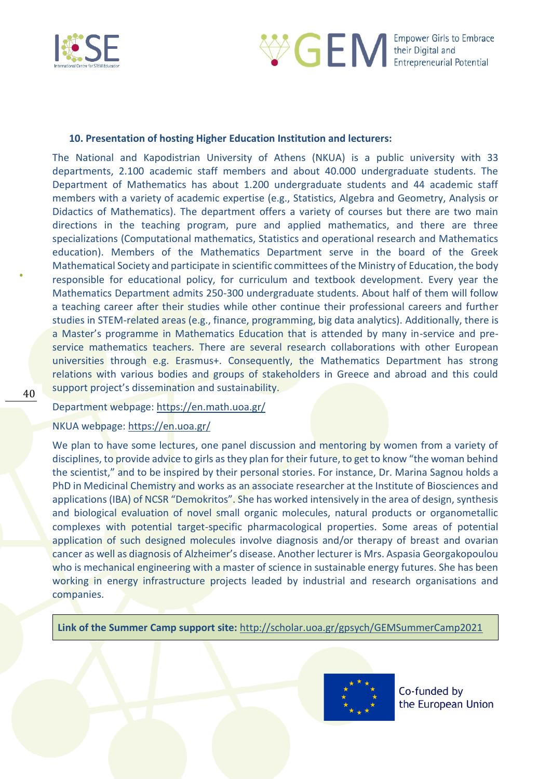



#### **10. Presentation of hosting Higher Education Institution and lecturers:**

The National and Kapodistrian University of Athens (NKUA) is a public university with 33 departments, 2.100 academic staff members and about 40.000 undergraduate students. The Department of Mathematics has about 1.200 undergraduate students and 44 academic staff members with a variety of academic expertise (e.g., Statistics, Algebra and Geometry, Analysis or Didactics of Mathematics). The department offers a variety of courses but there are two main directions in the teaching program, pure and applied mathematics, and there are three specializations (Computational mathematics, Statistics and operational research and Mathematics education). Members of the Mathematics Department serve in the board of the Greek Mathematical Society and participate in scientific committees of the Ministry of Education, the body responsible for educational policy, for curriculum and textbook development. Every year the Mathematics Department admits 250-300 undergraduate students. About half of them will follow a teaching career after their studies while other continue their professional careers and further studies in STEM-related areas (e.g., finance, programming, big data analytics). Additionally, there is a Master's programme in Mathematics Education that is attended by many in-service and preservice mathematics teachers. There are several research collaborations with other European universities through e.g. Erasmus+. Consequently, the Mathematics Department has strong relations with various bodies and groups of stakeholders in Greece and abroad and this could support project's dissemination and sustainability.

#### Department webpage:<https://en.math.uoa.gr/>

### NKUA webpage:<https://en.uoa.gr/>

We plan to have some lectures, one panel discussion and mentoring by women from a variety of disciplines, to provide advice to girls as they plan for their future, to get to know "the woman behind the scientist," and to be inspired by their personal stories. For instance, Dr. Marina Sagnou holds a PhD in Medicinal Chemistry and works as an associate researcher at the Institute of Biosciences and applications (IBA) of NCSR "Demokritos". She has worked intensively in the area of design, synthesis and biological evaluation of novel small organic molecules, natural products or organometallic complexes with potential target-specific pharmacological properties. Some areas of potential application of such designed molecules involve diagnosis and/or therapy of breast and ovarian cancer as well as diagnosis of Alzheimer's disease. Another lecturer is Mrs. Aspasia Georgakopoulou who is mechanical engineering with a master of science in sustainable energy futures. She has been working in energy infrastructure projects leaded by industrial and research organisations and companies.

**Link of the Summer Camp support site:** <http://scholar.uoa.gr/gpsych/GEMSummerCamp2021>

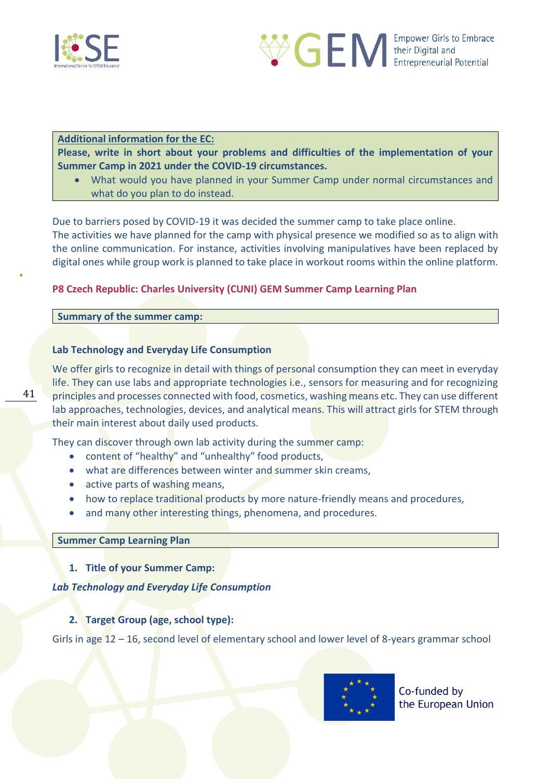



### **Additional information for the EC:**

**Please, write in short about your problems and difficulties of the implementation of your Summer Camp in 2021 under the COVID-19 circumstances.** 

• What would you have planned in your Summer Camp under normal circumstances and what do you plan to do instead.

Due to barriers posed by COVID-19 it was decided the summer camp to take place online. The activities we have planned for the camp with physical presence we modified so as to align with the online communication. For instance, activities involving manipulatives have been replaced by digital ones while group work is planned to take place in workout rooms within the online platform.

### <span id="page-40-0"></span>**P8 Czech Republic: Charles University (CUNI) GEM Summer Camp Learning Plan**

### **Summary of the summer camp:**

### **Lab Technology and Everyday Life Consumption**

We offer girls to recognize in detail with things of personal consumption they can meet in everyday life. They can use labs and appropriate technologies i.e., sensors for measuring and for recognizing principles and processes connected with food, cosmetics, washing means etc. They can use different lab approaches, technologies, devices, and analytical means. This will attract girls for STEM through their main interest about daily used products.

They can discover through own lab activity during the summer camp:

- content of "healthy" and "unhealthy" food products,
- what are differences between winter and summer skin creams,
- active parts of washing means,
- how to replace traditional products by more nature-friendly means and procedures,
- and many other interesting things, phenomena, and procedures.

#### **Summer Camp Learning Plan**

**1. Title of your Summer Camp:** 

### *Lab Technology and Everyday Life Consumption*

### **2. Target Group (age, school type):**

Girls in age 12 – 16, second level of elementary school and lower level of 8-years grammar school

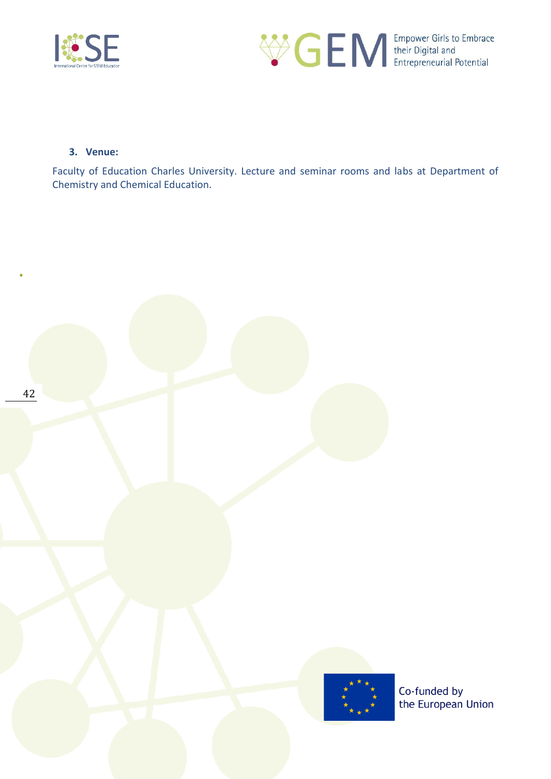



### **3. Venue:**

Faculty of Education Charles University. Lecture and seminar rooms and labs at Department of Chemistry and Chemical Education.

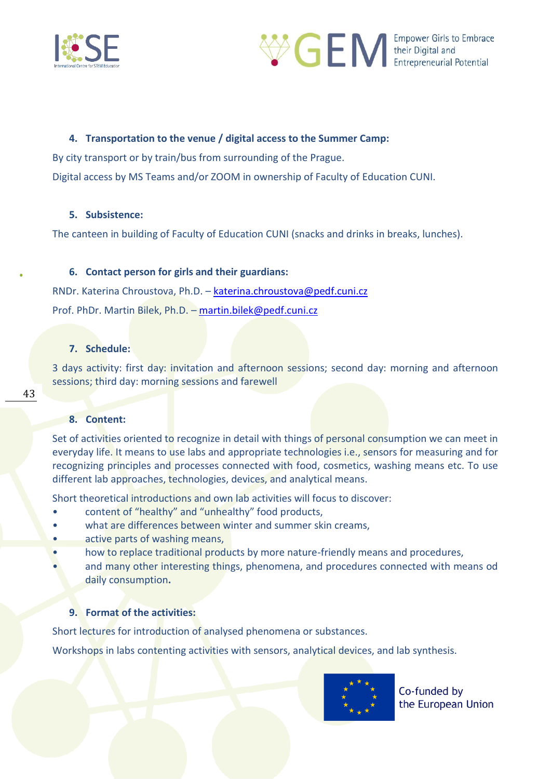



### **4. Transportation to the venue / digital access to the Summer Camp:**

By city transport or by train/bus from surrounding of the Prague.

Digital access by MS Teams and/or ZOOM in ownership of Faculty of Education CUNI.

#### **5. Subsistence:**

The canteen in building of Faculty of Education CUNI (snacks and drinks in breaks, lunches).

#### **6. Contact person for girls and their guardians:**

RNDr. Katerina Chroustova, Ph.D. – [katerina.chroustova@pedf.cuni.cz](mailto:katerina.chroustova@pedf.cuni.cz) Prof. PhDr. Martin Bilek, Ph.D. – [martin.bilek@pedf.cuni.cz](mailto:martin.bilek@pedf.cuni.cz)

#### **7. Schedule:**

3 days activity: first day: invitation and afternoon sessions; second day: morning and afternoon sessions; third day: morning sessions and farewell

43

### **8. Content:**

Set of activities oriented to recognize in detail with things of personal consumption we can meet in everyday life. It means to use labs and appropriate technologies i.e., sensors for measuring and for recognizing principles and processes connected with food, cosmetics, washing means etc. To use different lab approaches, technologies, devices, and analytical means.

Short theoretical introductions and own lab activities will focus to discover:

- content of "healthy" and "unhealthy" food products,
- what are differences between winter and summer skin creams,
- active parts of washing means,
- how to replace traditional products by more nature-friendly means and procedures,
- and many other interesting things, phenomena, and procedures connected with means od daily consumption**.**

### **9. Format of the activities:**

Short lectures for introduction of analysed phenomena or substances.

Workshops in labs contenting activities with sensors, analytical devices, and lab synthesis.

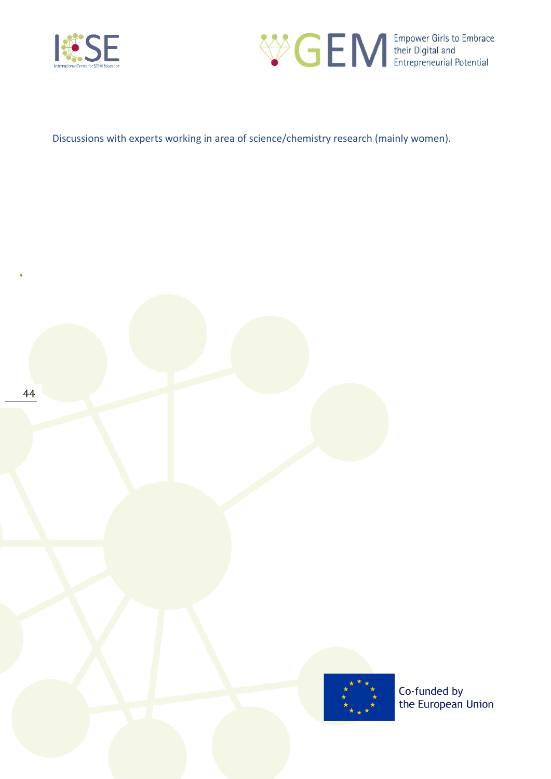



Discussions with experts working in area of science/chemistry research (mainly women).



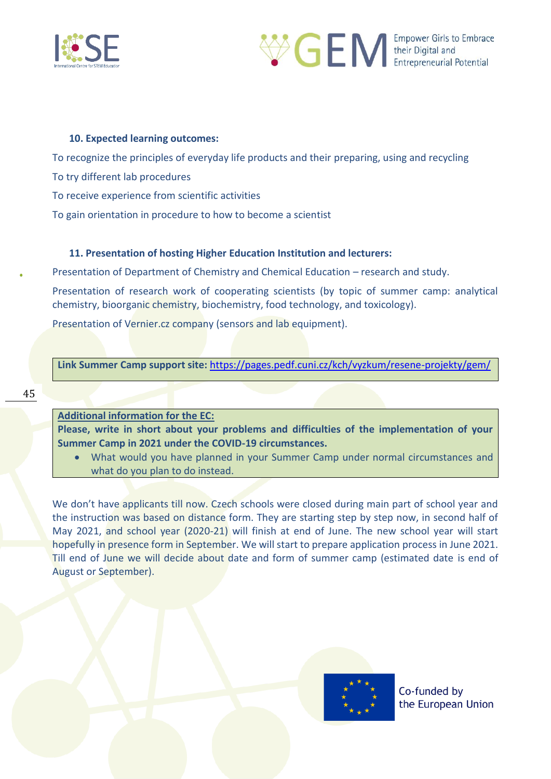



#### **10. Expected learning outcomes:**

To recognize the principles of everyday life products and their preparing, using and recycling

To try different lab procedures

To receive experience from scientific activities

To gain orientation in procedure to how to become a scientist

### **11. Presentation of hosting Higher Education Institution and lecturers:**

Presentation of Department of Chemistry and Chemical Education – research and study.

Presentation of research work of cooperating scientists (by topic of summer camp: analytical chemistry, bioorganic chemistry, biochemistry, food technology, and toxicology).

Presentation of Vernier.cz company (sensors and lab equipment).

**Link Summer Camp support site:** <https://pages.pedf.cuni.cz/kch/vyzkum/resene-projekty/gem/>

**Additional information for the EC:** 

**Please, write in short about your problems and difficulties of the implementation of your Summer Camp in 2021 under the COVID-19 circumstances.** 

• What would you have planned in your Summer Camp under normal circumstances and what do you plan to do instead.

We don't have applicants till now. Czech schools were closed during main part of school year and the instruction was based on distance form. They are starting step by step now, in second half of May 2021, and school year (2020-21) will finish at end of June. The new school year will start hopefully in presence form in September. We will start to prepare application process in June 2021. Till end of June we will decide about date and form of summer camp (estimated date is end of August or September).

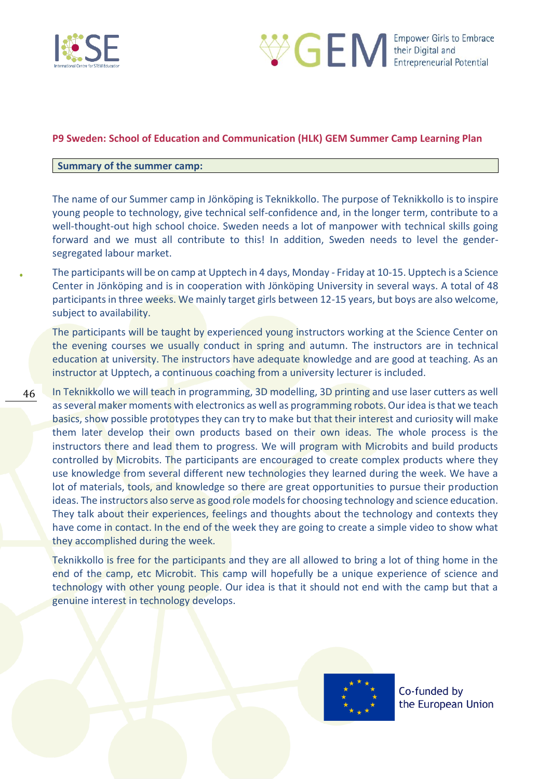



### <span id="page-45-0"></span>**P9 Sweden: School of Education and Communication (HLK) GEM Summer Camp Learning Plan**

#### **Summary of the summer camp:**

The name of our Summer camp in Jönköping is Teknikkollo. The purpose of Teknikkollo is to inspire young people to technology, give technical self-confidence and, in the longer term, contribute to a well-thought-out high school choice. Sweden needs a lot of manpower with technical skills going forward and we must all contribute to this! In addition, Sweden needs to level the gendersegregated labour market.

The participants will be on camp at Upptech in 4 days, Monday - Friday at 10-15. Upptech is a Science Center in Jönköping and is in cooperation with Jönköping University in several ways. A total of 48 participants in three weeks. We mainly target girls between 12-15 years, but boys are also welcome, subject to availability.

The participants will be taught by experienced young instructors working at the Science Center on the evening courses we usually conduct in spring and autumn. The instructors are in technical education at university. The instructors have adequate knowledge and are good at teaching. As an instructor at Upptech, a continuous coaching from a university lecturer is included.

46 In Teknikkollo we will teach in programming, 3D modelling, 3D printing and use laser cutters as well as several maker moments with electronics as well as programming robots. Our idea is that we teach basics, show possible prototypes they can try to make but that their interest and curiosity will make them later develop their own products based on their own ideas. The whole process is the instructors there and lead them to progress. We will program with Microbits and build products controlled by Microbits. The participants are encouraged to create complex products where they use knowledge from several different new technologies they learned during the week. We have a lot of materials, tools, and knowledge so there are great opportunities to pursue their production ideas. The instructors also serve as good role models for choosing technology and science education. They talk about their experiences, feelings and thoughts about the technology and contexts they have come in contact. In the end of the week they are going to create a simple video to show what they accomplished during the week.

Teknikkollo is free for the participants and they are all allowed to bring a lot of thing home in the end of the camp, etc Microbit. This camp will hopefully be a unique experience of science and technology with other young people. Our idea is that it should not end with the camp but that a genuine interest in technology develops.

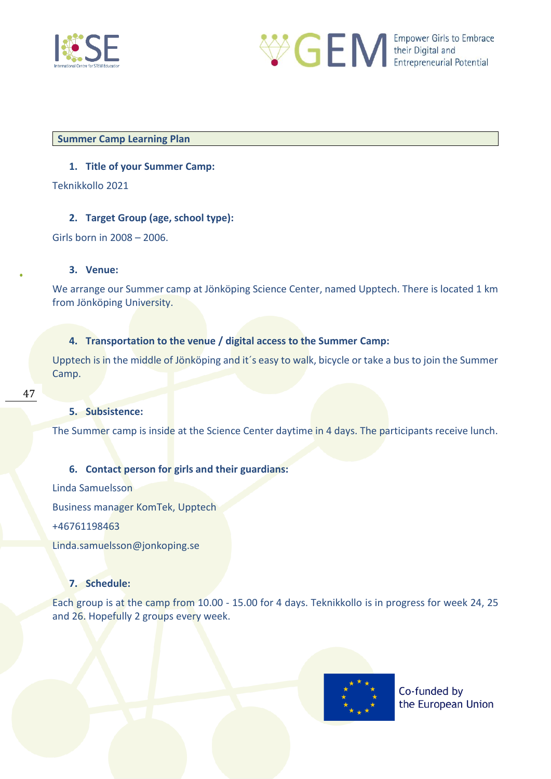



#### **Summer Camp Learning Plan**

### **1. Title of your Summer Camp:**

Teknikkollo 2021

### **2. Target Group (age, school type):**

Girls born in 2008 – 2006.

### **3. Venue:**

We arrange our Summer camp at Jönköping Science Center, named Upptech. There is located 1 km from Jönköping University.

### **4. Transportation to the venue / digital access to the Summer Camp:**

Upptech is in the middle of Jönköping and it´s easy to walk, bicycle or take a bus to join the Summer Camp.

### **5. Subsistence:**

The Summer camp is inside at the Science Center daytime in 4 days. The participants receive lunch.

### **6. Contact person for girls and their guardians:**

Linda Samuelsson Business manager KomTek, Upptech +46761198463 Linda.samuelsson@jonkoping.se

### **7. Schedule:**

Each group is at the camp from 10.00 - 15.00 for 4 days. Teknikkollo is in progress for week 24, 25 and 26. Hopefully 2 groups every week.

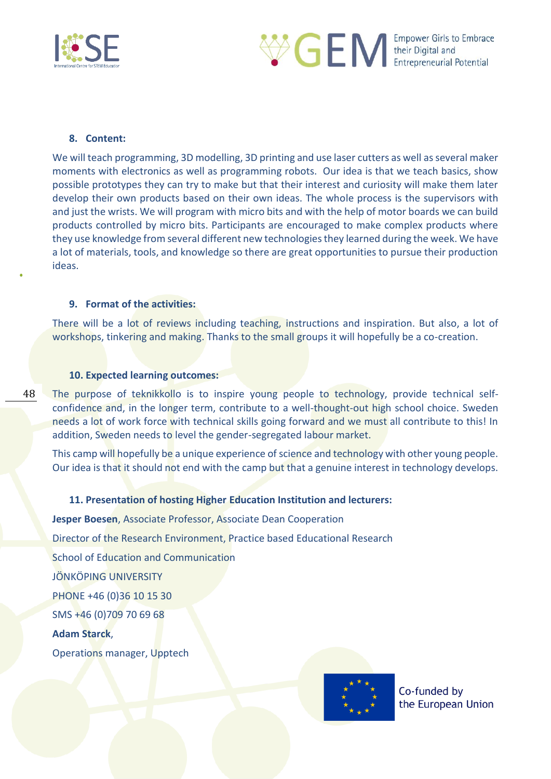



#### **8. Content:**

48

We will teach programming, 3D modelling, 3D printing and use laser cutters as well as several maker moments with electronics as well as programming robots. Our idea is that we teach basics, show possible prototypes they can try to make but that their interest and curiosity will make them later develop their own products based on their own ideas. The whole process is the supervisors with and just the wrists. We will program with micro bits and with the help of motor boards we can build products controlled by micro bits. Participants are encouraged to make complex products where they use knowledge from several different new technologies they learned during the week. We have a lot of materials, tools, and knowledge so there are great opportunities to pursue their production ideas.

#### **9. Format of the activities:**

There will be a lot of reviews including teaching, instructions and inspiration. But also, a lot of workshops, tinkering and making. Thanks to the small groups it will hopefully be a co-creation.

#### **10. Expected learning outcomes:**

The purpose of teknikkollo is to inspire young people to technology, provide technical selfconfidence and, in the longer term, contribute to a well-thought-out high school choice. Sweden needs a lot of work force with technical skills going forward and we must all contribute to this! In addition, Sweden needs to level the gender-segregated labour market.

This camp will hopefully be a unique experience of science and technology with other young people. Our idea is that it should not end with the camp but that a genuine interest in technology develops.

#### **11. Presentation of hosting Higher Education Institution and lecturers:**

**Jesper Boesen**, Associate Professor, Associate Dean Cooperation Director of the Research Environment, Practice based Educational Research School of Education and Communication JÖNKÖPING UNIVERSITY PHONE +46 (0)36 10 15 30 SMS +46 (0)709 70 69 68 **Adam Starck**, Operations manager, Upptech

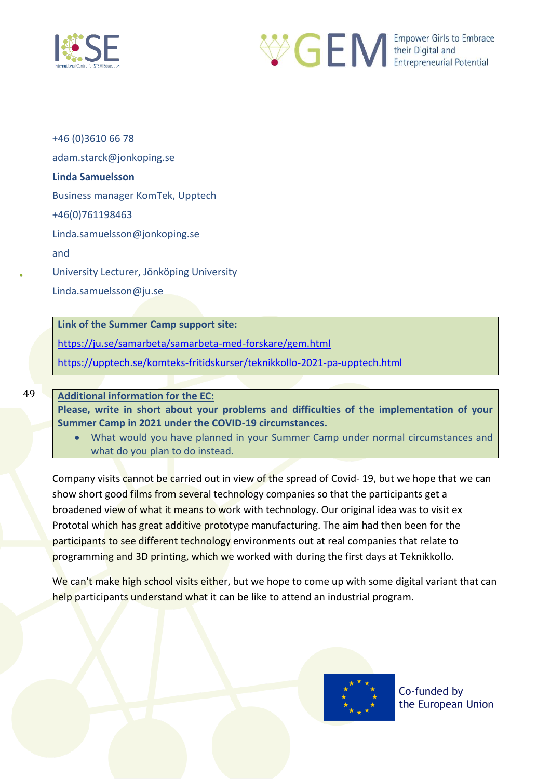



+46 (0)3610 66 78 adam.starck@jonkoping.se **Linda Samuelsson** Business manager KomTek, Upptech +46(0)761198463 Linda.samuelsson@jonkoping.se and University Lecturer, Jönköping University Linda.samuelsson@ju.se

**Link of the Summer Camp support site:** 

<https://ju.se/samarbeta/samarbeta-med-forskare/gem.html>

<https://upptech.se/komteks-fritidskurser/teknikkollo-2021-pa-upptech.html>

49

#### **Additional information for the EC:**

**Please, write in short about your problems and difficulties of the implementation of your Summer Camp in 2021 under the COVID-19 circumstances.** 

• What would you have planned in your Summer Camp under normal circumstances and what do you plan to do instead.

Company visits cannot be carried out in view of the spread of Covid- 19, but we hope that we can show short good films from several technology companies so that the participants get a broadened view of what it means to work with technology. Our original idea was to visit ex Prototal which has great additive prototype manufacturing. The aim had then been for the participants to see different technology environments out at real companies that relate to programming and 3D printing, which we worked with during the first days at Teknikkollo.

We can't make high school visits either, but we hope to come up with some digital variant that can help participants understand what it can be like to attend an industrial program.

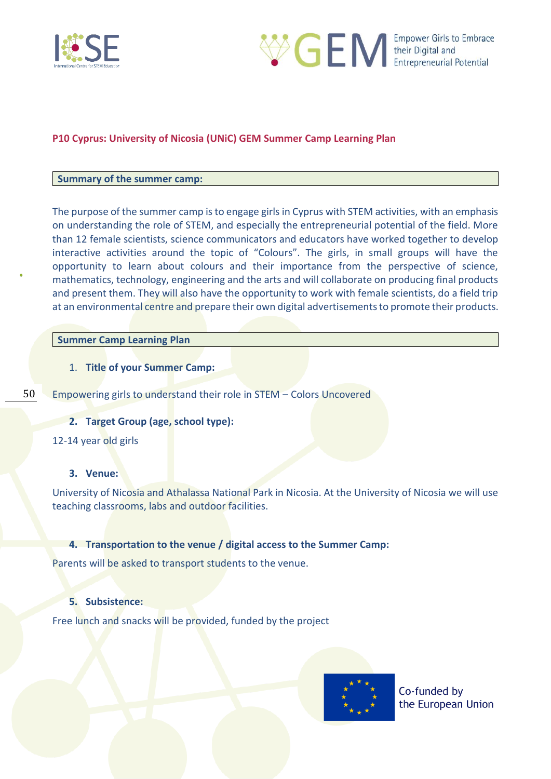



### <span id="page-49-0"></span>**P10 Cyprus: University of Nicosia (UNiC) GEM Summer Camp Learning Plan**

#### **Summary of the summer camp:**

The purpose of the summer camp is to engage girls in Cyprus with STEM activities, with an emphasis on understanding the role of STEM, and especially the entrepreneurial potential of the field. More than 12 female scientists, science communicators and educators have worked together to develop interactive activities around the topic of "Colours". The girls, in small groups will have the opportunity to learn about colours and their importance from the perspective of science, mathematics, technology, engineering and the arts and will collaborate on producing final products and present them. They will also have the opportunity to work with female scientists, do a field trip at an environmental centre and prepare their own digital advertisements to promote their products.

### **Summer Camp Learning Plan**

- 1. **Title of your Summer Camp:**
- 50

Empowering girls to understand their role in STEM – Colors Uncovered

### **2. Target Group (age, school type):**

12-14 year old girls

#### **3. Venue:**

University of Nicosia and Athalassa National Park in Nicosia. At the University of Nicosia we will use teaching classrooms, labs and outdoor facilities.

#### **4. Transportation to the venue / digital access to the Summer Camp:**

Parents will be asked to transport students to the venue.

### **5. Subsistence:**

Free lunch and snacks will be provided, funded by the project

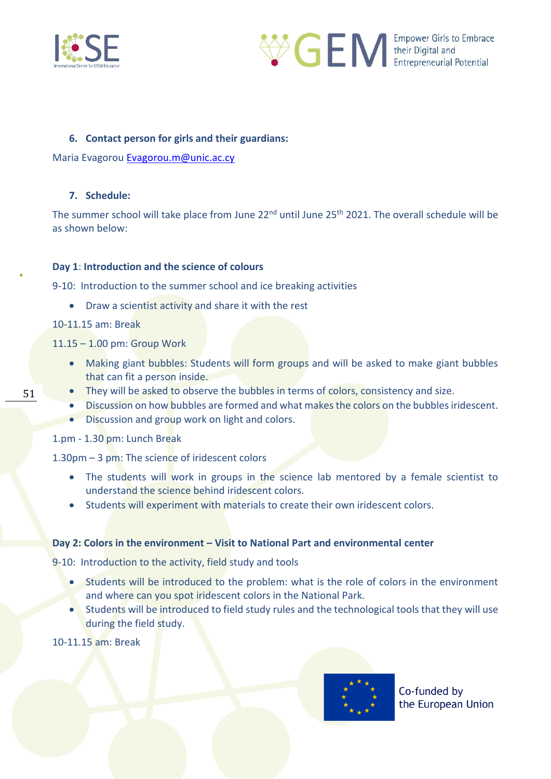



### **6. Contact person for girls and their guardians:**

Maria Evagorou [Evagorou.m@unic.ac.cy](mailto:Evagorou.m@unic.ac.cy)

### **7. Schedule:**

The summer school will take place from June 22<sup>nd</sup> until June 25<sup>th</sup> 2021. The overall schedule will be as shown below:

### **Day 1**: **Introduction and the science of colours**

9-10: Introduction to the summer school and ice breaking activities

• Draw a scientist activity and share it with the rest

### 10-11.15 am: Break

51

11.15 – 1.00 pm: Group Work

- Making giant bubbles: Students will form groups and will be asked to make giant bubbles that can fit a person inside.
- They will be asked to observe the bubbles in terms of colors, consistency and size.
- Discussion on how bubbles are formed and what makes the colors on the bubbles iridescent.
- Discussion and group work on light and colors.

1.pm - 1.30 pm: Lunch Break

1.30pm – 3 pm: The science of iridescent colors

- The students will work in groups in the science lab mentored by a female scientist to understand the science behind iridescent colors.
- Students will experiment with materials to create their own iridescent colors.

### **Day 2: Colors in the environment – Visit to National Part and environmental center**

9-10: Introduction to the activity, field study and tools

- Students will be introduced to the problem: what is the role of colors in the environment and where can you spot iridescent colors in the National Park.
- Students will be introduced to field study rules and the technological tools that they will use during the field study.

10-11.15 am: Break

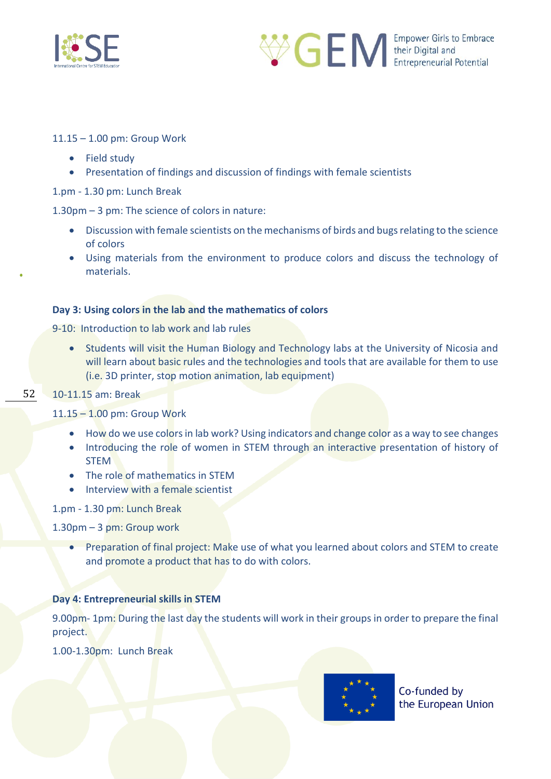



11.15 – 1.00 pm: Group Work

- Field study
- Presentation of findings and discussion of findings with female scientists

1.pm - 1.30 pm: Lunch Break

1.30pm – 3 pm: The science of colors in nature:

- Discussion with female scientists on the mechanisms of birds and bugs relating to the science of colors
- Using materials from the environment to produce colors and discuss the technology of materials.

### **Day 3: Using colors in the lab and the mathematics of colors**

9-10: Introduction to lab work and lab rules

• Students will visit the Human Biology and Technology labs at the University of Nicosia and will learn about basic rules and the technologies and tools that are available for them to use (i.e. 3D printer, stop motion animation, lab equipment)

#### 52 10-11.15 am: Break

### 11.15 – 1.00 pm: Group Work

- How do we use colors in lab work? Using indicators and change color as a way to see changes
- Introducing the role of women in STEM through an interactive presentation of history of STEM
- The role of mathematics in STEM
- Interview with a female scientist

1.pm - 1.30 pm: Lunch Break

1.30pm – 3 pm: Group work

• Preparation of final project: Make use of what you learned about colors and STEM to create and promote a product that has to do with colors.

### **Day 4: Entrepreneurial skills in STEM**

9.00pm- 1pm: During the last day the students will work in their groups in order to prepare the final project.

1.00-1.30pm: Lunch Break

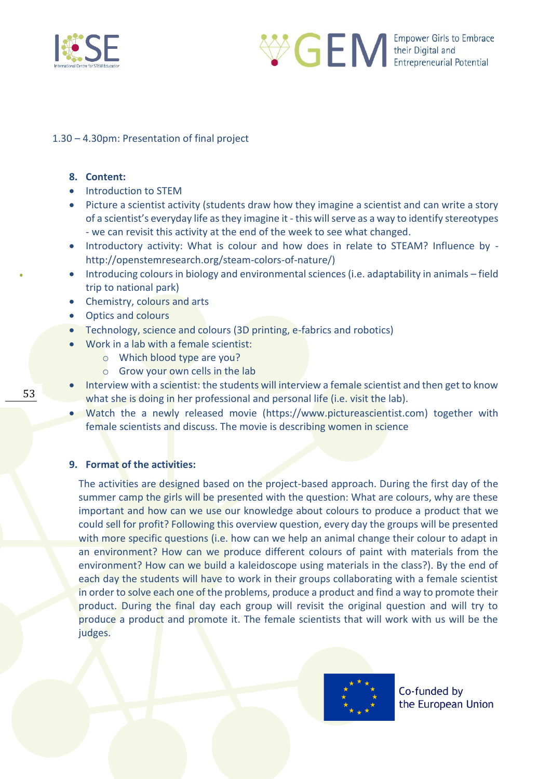



### 1.30 – 4.30pm: Presentation of final project

#### **8. Content:**

- Introduction to STEM
- Picture a scientist activity (students draw how they imagine a scientist and can write a story of a scientist's everyday life as they imagine it - this will serve as a way to identify stereotypes - we can revisit this activity at the end of the week to see what changed.
- Introductory activity: What is colour and how does in relate to STEAM? Influence by [http://openstemresearch.org/steam-colors-of-nature/\)](http://openstemresearch.org/steam-colors-of-nature/)
- Introducing colours in biology and environmental sciences (i.e. adaptability in animals field trip to national park)
- Chemistry, colours and arts
- Optics and colours
- Technology, science and colours (3D printing, e-fabrics and robotics)
- Work in a lab with a female scientist:
	- o Which blood type are you?
	- o Grow your own cells in the lab
- Interview with a scientist: the students will interview a female scientist and then get to know what she is doing in her professional and personal life (i.e. visit the lab).
- Watch the a newly released movie [\(https://www.pictureascientist.com\)](https://www.pictureascientist.com/) together with female scientists and discuss. The movie is describing women in science

### **9. Format of the activities:**

The activities are designed based on the project-based approach. During the first day of the summer camp the girls will be presented with the question: What are colours, why are these important and how can we use our knowledge about colours to produce a product that we could sell for profit? Following this overview question, every day the groups will be presented with more specific questions (i.e. how can we help an animal change their colour to adapt in an environment? How can we produce different colours of paint with materials from the environment? How can we build a kaleidoscope using materials in the class?). By the end of each day the students will have to work in their groups collaborating with a female scientist in order to solve each one of the problems, produce a product and find a way to promote their product. During the final day each group will revisit the original question and will try to produce a product and promote it. The female scientists that will work with us will be the judges.



Co-funded by the European Union

53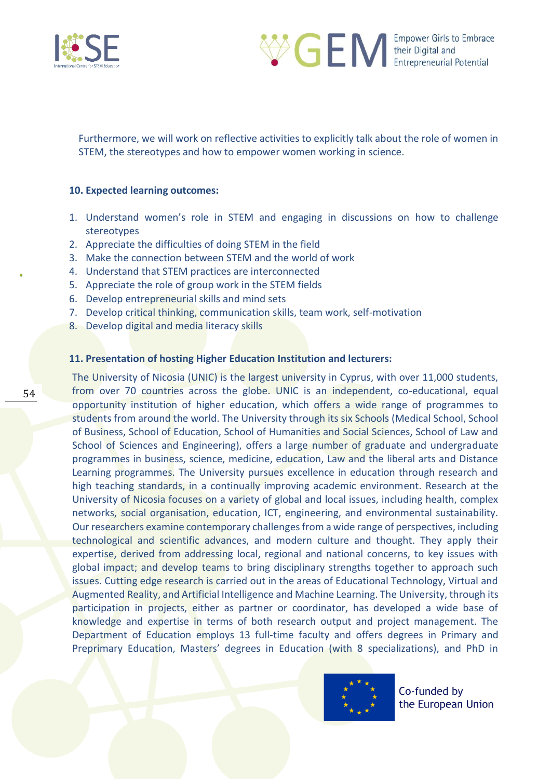



Furthermore, we will work on reflective activities to explicitly talk about the role of women in STEM, the stereotypes and how to empower women working in science.

#### **10. Expected learning outcomes:**

- 1. Understand women's role in STEM and engaging in discussions on how to challenge stereotypes
- 2. Appreciate the difficulties of doing STEM in the field
- 3. Make the connection between STEM and the world of work
- 4. Understand that STEM practices are interconnected
- 5. Appreciate the role of group work in the STEM fields
- 6. Develop entrepreneurial skills and mind sets
- 7. Develop critical thinking, communication skills, team work, self-motivation
- 8. Develop digital and media literacy skills

### **11. Presentation of hosting Higher Education Institution and lecturers:**

The University of Nicosia (UNIC) is the largest university in Cyprus, with over 11,000 students, from over 70 countries across the globe. UNIC is an independent, co-educational, equal opportunity institution of higher education, which offers a wide range of programmes to students from around the world. The University through its six Schools (Medical School, School of Business, School of Education, School of Humanities and Social Sciences, School of Law and School of Sciences and Engineering), offers a large number of graduate and undergraduate programmes in business, science, medicine, education, Law and the liberal arts and Distance Learning programmes. The University pursues excellence in education through research and high teaching standards, in a continually improving academic environment. Research at the University of Nicosia focuses on a variety of global and local issues, including health, complex networks, social organisation, education, ICT, engineering, and environmental sustainability. Our researchers examine contemporary challenges from a wide range of perspectives, including technological and scientific advances, and modern culture and thought. They apply their expertise, derived from addressing local, regional and national concerns, to key issues with global impact; and develop teams to bring disciplinary strengths together to approach such issues. Cutting edge research is carried out in the areas of Educational Technology, Virtual and Augmented Reality, and Artificial Intelligence and Machine Learning. The University, through its participation in projects, either as partner or coordinator, has developed a wide base of knowledge and expertise in terms of both research output and project management. The Department of Education employs 13 full-time faculty and offers degrees in Primary and Preprimary Education, Masters' degrees in Education (with 8 specializations), and PhD in

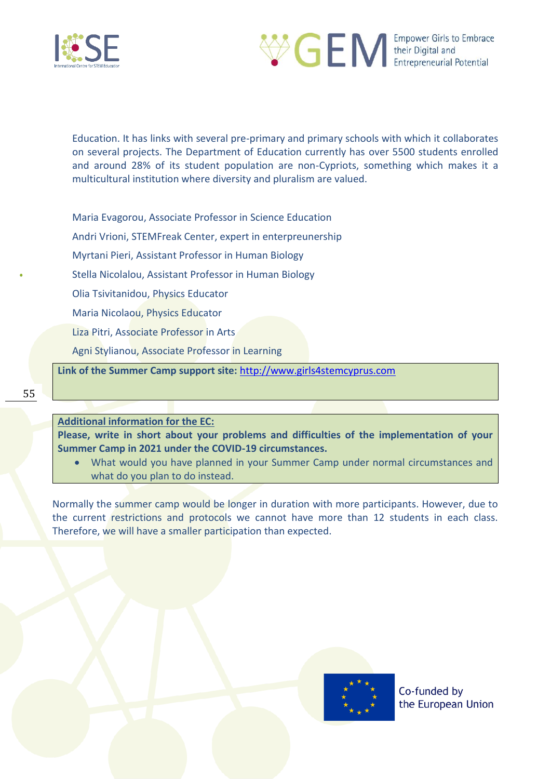



Education. It has links with several pre-primary and primary schools with which it collaborates on several projects. The Department of Education currently has over 5500 students enrolled and around 28% of its student population are non-Cypriots, something which makes it a multicultural institution where diversity and pluralism are valued.

Maria Evagorou, Associate Professor in Science Education

Andri Vrioni, STEMFreak Center, expert in enterpreunership

Myrtani Pieri, Assistant Professor in Human Biology

Stella Nicolalou, Assistant Professor in Human Biology

Olia Tsivitanidou, Physics Educator

Maria Nicolaou, Physics Educator

Liza Pitri, Associate Professor in Arts

Agni Stylianou, Associate Professor in Learning

**Link of the Summer Camp support site:** [http://www.girls4stemcyprus.com](http://www.girls4stemcyprus.com/)

**Additional information for the EC:** 

**Please, write in short about your problems and difficulties of the implementation of your Summer Camp in 2021 under the COVID-19 circumstances.** 

• What would you have planned in your Summer Camp under normal circumstances and what do you plan to do instead.

Normally the summer camp would be longer in duration with more participants. However, due to the current restrictions and protocols we cannot have more than 12 students in each class. Therefore, we will have a smaller participation than expected.

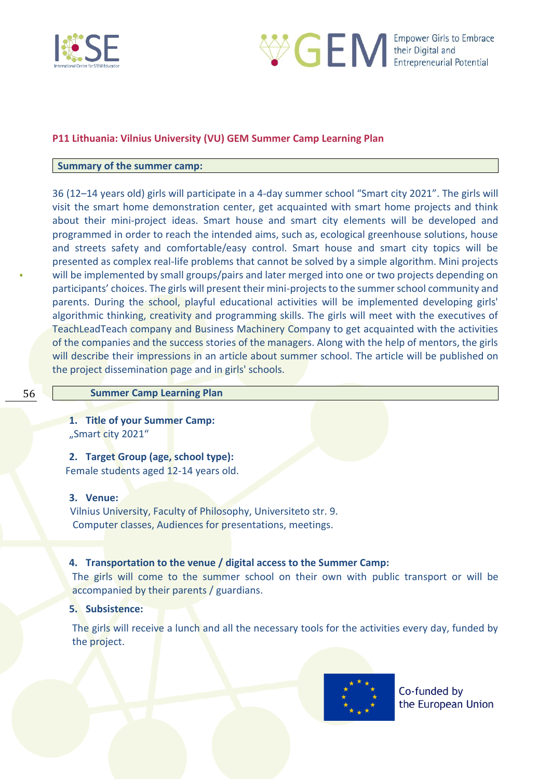



### <span id="page-55-0"></span>**P11 Lithuania: Vilnius University (VU) GEM Summer Camp Learning Plan**

#### **Summary of the summer camp:**

36 (12–14 years old) girls will participate in a 4-day summer school "Smart city 2021". The girls will visit the smart home demonstration center, get acquainted with smart home projects and think about their mini-project ideas. Smart house and smart city elements will be developed and programmed in order to reach the intended aims, such as, ecological greenhouse solutions, house and streets safety and comfortable/easy control. Smart house and smart city topics will be presented as complex real-life problems that cannot be solved by a simple algorithm. Mini projects will be implemented by small groups/pairs and later merged into one or two projects depending on participants' choices. The girls will present their mini-projects to the summer school community and parents. During the school, playful educational activities will be implemented developing girls' algorithmic thinking, creativity and programming skills. The girls will meet with the executives of TeachLeadTeach company and Business Machinery Company to get acquainted with the activities of the companies and the success stories of the managers. Along with the help of mentors, the girls will describe their impressions in an article about summer school. The article will be published on the project dissemination page and in girls' schools.

#### **Summer Camp Learning Plan**

**1. Title of your Summer Camp:**  "Smart city 2021"

**2. Target Group (age, school type):**  Female students aged 12-14 years old.

#### **3. Venue:**

 Vilnius University, Faculty of Philosophy, Universiteto str. 9. Computer classes, Audiences for presentations, meetings.

#### **4. Transportation to the venue / digital access to the Summer Camp:**

The girls will come to the summer school on their own with public transport or will be accompanied by their parents / guardians.

#### **5. Subsistence:**

The girls will receive a lunch and all the necessary tools for the activities every day, funded by the project.

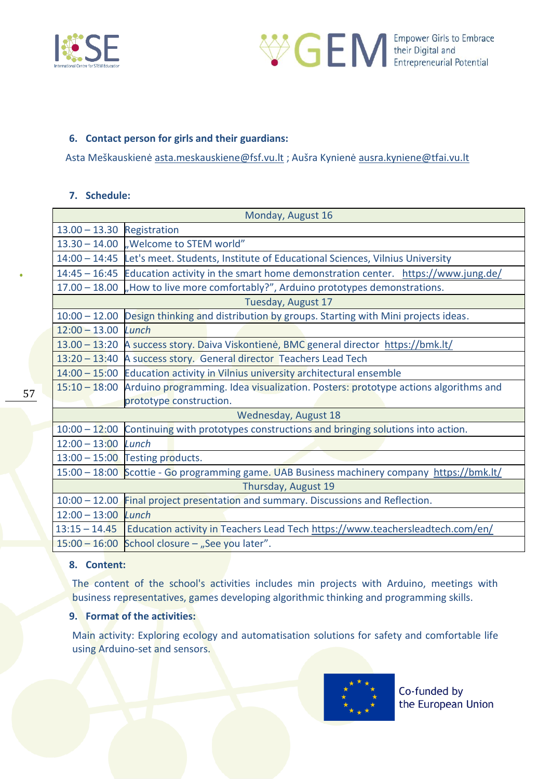



### **6. Contact person for girls and their guardians:**

Asta Meškauskienė [asta.meskauskiene@fsf.vu.lt](mailto:asta.meskauskiene@fsf.vu.lt) ; Aušra Kynienė [ausra.kyniene@tfai.vu.lt](mailto:ausra.kyniene@tfai.vu.lt)

### **7. Schedule:**

| Monday, August 16          |                                                                                                  |  |
|----------------------------|--------------------------------------------------------------------------------------------------|--|
| 13.00 - 13.30 Registration |                                                                                                  |  |
|                            | $13.30 - 14.00$ , Welcome to STEM world"                                                         |  |
|                            | 14:00 - 14:45 Let's meet. Students, Institute of Educational Sciences, Vilnius University        |  |
|                            | 14:45 - 16:45 Education activity in the smart home demonstration center. https://www.jung.de/    |  |
|                            | 17.00 – 18.00 . How to live more comfortably?", Arduino prototypes demonstrations.               |  |
|                            | Tuesday, August 17                                                                               |  |
| $10:00 - 12.00$            | Design thinking and distribution by groups. Starting with Mini projects ideas.                   |  |
| $12:00 - 13.00$            | Lunch                                                                                            |  |
|                            | 13.00 - 13:20 A success story. Daiva Viskontienė, BMC general director https://bmk.lt/           |  |
|                            | 13:20 - 13:40 A success story. General director Teachers Lead Tech                               |  |
|                            | 14:00 - 15:00 Education activity in Vilnius university architectural ensemble                    |  |
|                            | 15:10 - 18:00 Arduino programming. Idea visualization. Posters: prototype actions algorithms and |  |
|                            | prototype construction.                                                                          |  |
|                            | Wednesday, August 18                                                                             |  |
| $10:00 - 12:00$            | Continuing with prototypes constructions and bringing solutions into action.                     |  |
| $12:00 - 13:00$            | Lunch                                                                                            |  |
|                            | $13:00 - 15:00$ Testing products.                                                                |  |
|                            | 15:00 - 18:00 Scottie - Go programming game. UAB Business machinery company https://bmk.lt/      |  |
| Thursday, August 19        |                                                                                                  |  |
| $10:00 - 12.00$            | Final project presentation and summary. Discussions and Reflection.                              |  |
| $12:00 - 13:00$ Lunch      |                                                                                                  |  |
|                            | 13:15 - 14.45   Education activity in Teachers Lead Tech https://www.teachersleadtech.com/en/    |  |
|                            | 15:00 - 16:00 School closure - "See you later".                                                  |  |

### **8. Content:**

The content of the school's activities includes min projects with Arduino, meetings with business representatives, games developing algorithmic thinking and programming skills.

### **9. Format of the activities:**

Main activity: Exploring ecology and automatisation solutions for safety and comfortable life using Arduino-set and sensors.

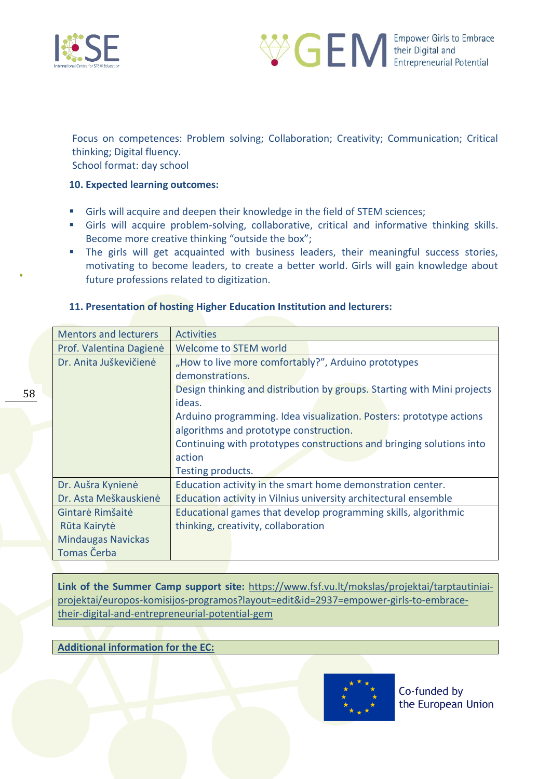

58



Focus on competences: Problem solving; Collaboration; Creativity; Communication; Critical thinking; Digital fluency.

School format: day school

### **10. Expected learning outcomes:**

- Girls will acquire and deepen their knowledge in the field of STEM sciences;
- **EXTE:** Girls will acquire problem-solving, collaborative, critical and informative thinking skills. Become more creative thinking "outside the box";
- **The girls will get acquainted with business leaders, their meaningful success stories,** motivating to become leaders, to create a better world. Girls will gain knowledge about future professions related to digitization.

### **11. Presentation of hosting Higher Education Institution and lecturers:**

| <b>Mentors and lecturers</b> | <b>Activities</b>                                                       |
|------------------------------|-------------------------------------------------------------------------|
| Prof. Valentina Dagienė      | <b>Welcome to STEM world</b>                                            |
| Dr. Anita Juškevičienė       | "How to live more comfortably?", Arduino prototypes                     |
|                              | demonstrations.                                                         |
|                              | Design thinking and distribution by groups. Starting with Mini projects |
|                              | ideas.                                                                  |
|                              | Arduino programming. Idea visualization. Posters: prototype actions     |
|                              | algorithms and prototype construction.                                  |
|                              | Continuing with prototypes constructions and bringing solutions into    |
|                              | action                                                                  |
|                              | Testing products.                                                       |
| Dr. Aušra Kynienė            | Education activity in the smart home demonstration center.              |
| Dr. Asta Meškauskienė        | Education activity in Vilnius university architectural ensemble         |
| Gintarė Rimšaitė             | Educational games that develop programming skills, algorithmic          |
| Rūta Kairytė                 | thinking, creativity, collaboration                                     |
| <b>Mindaugas Navickas</b>    |                                                                         |
| Tomas Čerba                  |                                                                         |

**Link of the Summer Camp support site:** [https://www.fsf.vu.lt/mokslas/projektai/tarptautiniai](https://www.fsf.vu.lt/mokslas/projektai/tarptautiniai-projektai/europos-komisijos-programos?layout=edit&id=2937=empower-girls-to-embrace-their-digital-and-entrepreneurial-potential-gem)[projektai/europos-komisijos-programos?layout=edit&id=2937=empower-girls-to-embrace](https://www.fsf.vu.lt/mokslas/projektai/tarptautiniai-projektai/europos-komisijos-programos?layout=edit&id=2937=empower-girls-to-embrace-their-digital-and-entrepreneurial-potential-gem)[their-digital-and-entrepreneurial-potential-gem](https://www.fsf.vu.lt/mokslas/projektai/tarptautiniai-projektai/europos-komisijos-programos?layout=edit&id=2937=empower-girls-to-embrace-their-digital-and-entrepreneurial-potential-gem)

### **Additional information for the EC:**